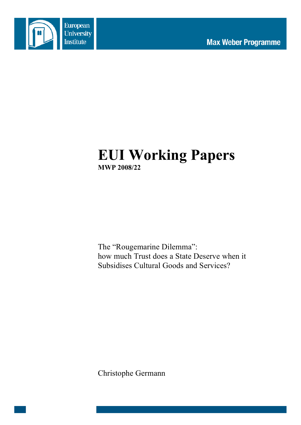



# **EUI Working Papers MWP 2008/22**

The "Rougemarine Dilemma": how much Trust does a State Deserve when it Subsidises Cultural Goods and Services?

Christophe Germann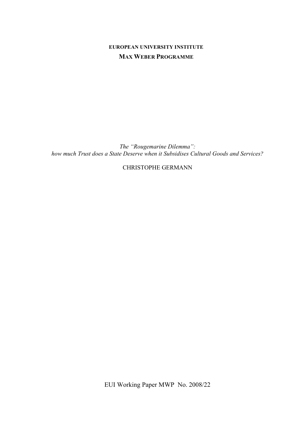# **EUROPEAN UNIVERSITY INSTITUTE MAX WEBER PROGRAMME**

*The "Rougemarine Dilemma": how much Trust does a State Deserve when it Subsidises Cultural Goods and Services?*

CHRISTOPHE GERMANN

EUI Working Paper MWP No. 2008/22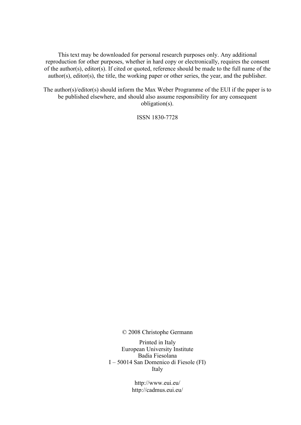This text may be downloaded for personal research purposes only. Any additional reproduction for other purposes, whether in hard copy or electronically, requires the consent of the author(s), editor(s). If cited or quoted, reference should be made to the full name of the author(s), editor(s), the title, the working paper or other series, the year, and the publisher.

The author(s)/editor(s) should inform the Max Weber Programme of the EUI if the paper is to be published elsewhere, and should also assume responsibility for any consequent obligation(s).

ISSN 1830-7728

© 2008 Christophe Germann

Printed in Italy European University Institute Badia Fiesolana I – 50014 San Domenico di Fiesole (FI) Italy

> http://www.eui.eu/ http://cadmus.eui.eu/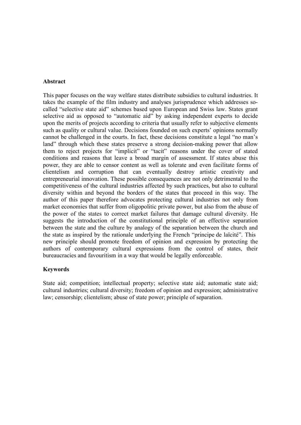#### **Abstract**

This paper focuses on the way welfare states distribute subsidies to cultural industries. It takes the example of the film industry and analyses jurisprudence which addresses socalled "selective state aid" schemes based upon European and Swiss law. States grant selective aid as opposed to "automatic aid" by asking independent experts to decide upon the merits of projects according to criteria that usually refer to subjective elements such as quality or cultural value. Decisions founded on such experts' opinions normally cannot be challenged in the courts. In fact, these decisions constitute a legal "no man's land" through which these states preserve a strong decision-making power that allow them to reject projects for "implicit" or "tacit" reasons under the cover of stated conditions and reasons that leave a broad margin of assessment. If states abuse this power, they are able to censor content as well as tolerate and even facilitate forms of clientelism and corruption that can eventually destroy artistic creativity and entrepreneurial innovation. These possible consequences are not only detrimental to the competitiveness of the cultural industries affected by such practices, but also to cultural diversity within and beyond the borders of the states that proceed in this way. The author of this paper therefore advocates protecting cultural industries not only from market economies that suffer from oligopolitic private power, but also from the abuse of the power of the states to correct market failures that damage cultural diversity. He suggests the introduction of the constitutional principle of an effective separation between the state and the culture by analogy of the separation between the church and the state as inspired by the rationale underlying the French "principe de laïcité". This new principle should promote freedom of opinion and expression by protecting the authors of contemporary cultural expressions from the control of states, their bureaucracies and favouritism in a way that would be legally enforceable.

### **Keywords**

State aid; competition; intellectual property; selective state aid; automatic state aid; cultural industries; cultural diversity; freedom of opinion and expression; administrative law; censorship; clientelism; abuse of state power; principle of separation.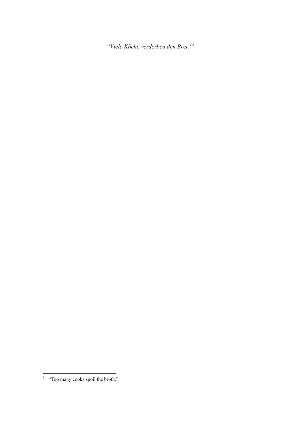*"Viele Köche verderben den Brei."*<sup>1</sup>

 $\frac{1}{1}$  "Too many cooks spoil the broth."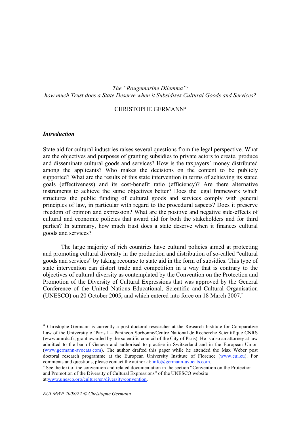*The "Rougemarine Dilemma": how much Trust does a State Deserve when it Subsidises Cultural Goods and Services?*

#### CHRISTOPHE GERMANN♦

#### *Introduction*

 $\overline{a}$ 

State aid for cultural industries raises several questions from the legal perspective. What are the objectives and purposes of granting subsidies to private actors to create, produce and disseminate cultural goods and services? How is the taxpayers' money distributed among the applicants? Who makes the decisions on the content to be publicly supported? What are the results of this state intervention in terms of achieving its stated goals (effectiveness) and its cost-benefit ratio (efficiency)? Are there alternative instruments to achieve the same objectives better? Does the legal framework which structures the public funding of cultural goods and services comply with general principles of law, in particular with regard to the procedural aspects? Does it preserve freedom of opinion and expression? What are the positive and negative side-effects of cultural and economic policies that award aid for both the stakeholders and for third parties? In summary, how much trust does a state deserve when it finances cultural goods and services?

The large majority of rich countries have cultural policies aimed at protecting and promoting cultural diversity in the production and distribution of so-called "cultural goods and services" by taking recourse to state aid in the form of subsidies. This type of state intervention can distort trade and competition in a way that is contrary to the objectives of cultural diversity as contemplated by the Convention on the Protection and Promotion of the Diversity of Cultural Expressions that was approved by the General Conference of the United Nations Educational, Scientific and Cultural Organisation (UNESCO) on 20 October 2005, and which entered into force on 18 March 2007.<sup>2</sup>

<sup>♦</sup> Christophe Germann is currently a post doctoral researcher at the Research Institute for Comparative Law of the University of Paris I – Panthéon Sorbonne/Centre National de Recherche Scientifique CNRS (www.umrdc.fr; grant awarded by the scientific council of the City of Paris). He is also an attorney at law admitted to the bar of Geneva and authorised to practise in Switzerland and in the European Union (www.germann-avocats.com). The author drafted this paper while he attended the Max Weber post doctoral research programme at the European University Institute of Florence (www.eui.eu). For comments and questions, please contact the author at:  $info@germann-avocats.com$ .

<sup>&</sup>lt;sup>2</sup> See the text of the convention and related documentation in the section "Convention on the Protection" and Promotion of the Diversity of Cultural Expressions" of the UNESCO website at:www.unesco.org/culture/en/diversity/convention.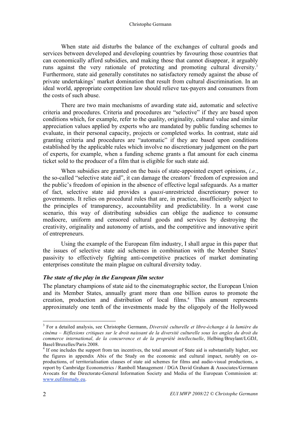When state aid disturbs the balance of the exchanges of cultural goods and services between developed and developing countries by favouring those countries that can economically afford subsidies, and making those that cannot disappear, it arguably runs against the very rationale of protecting and promoting cultural diversity.<sup>3</sup> Furthermore, state aid generally constitutes no satisfactory remedy against the abuse of private undertakings' market domination that result from cultural discrimination. In an ideal world, appropriate competition law should relieve tax-payers and consumers from the costs of such abuse.

There are two main mechanisms of awarding state aid, automatic and selective criteria and procedures. Criteria and procedures are "selective" if they are based upon conditions which, for example, refer to the quality, originality, cultural value and similar appreciation values applied by experts who are mandated by public funding schemes to evaluate, in their personal capacity, projects or completed works. In contrast, state aid granting criteria and procedures are "automatic" if they are based upon conditions established by the applicable rules which involve no discretionary judgement on the part of experts, for example, when a funding scheme grants a flat amount for each cinema ticket sold to the producer of a film that is eligible for such state aid.

When subsidies are granted on the basis of state-appointed expert opinions, *i.e.*, the so-called "selective state aid", it can damage the creators' freedom of expression and the public's freedom of opinion in the absence of effective legal safeguards. As a matter of fact, selective state aid provides a *quasi*-unrestricted discretionary power to governments. It relies on procedural rules that are, in practice, insufficiently subject to the principles of transparency, accountability and predictability. In a worst case scenario, this way of distributing subsidies can oblige the audience to consume mediocre, uniform and censored cultural goods and services by destroying the creativity, originality and autonomy of artists, and the competitive and innovative spirit of entrepreneurs.

Using the example of the European film industry, I shall argue in this paper that the issues of selective state aid schemes in combination with the Member States' passivity to effectively fighting anti-competitive practices of market dominating enterprises constitute the main plague on cultural diversity today.

### *The state of the play in the European film sector*

The planetary champions of state aid to the cinematographic sector, the European Union and its Member States, annually grant more than one billion euros to promote the creation, production and distribution of local films.<sup>4</sup> This amount represents approximately one tenth of the investments made by the oligopoly of the Hollywood

 <sup>3</sup> For a detailed analysis, see Christophe Germann, *Diversité culturelle et libre-échange à la lumière du cinéma – Réflexions critiques sur le droit naissant de la diversité culturelle sous les angles du droit du commerce international, de la concurrence et de la propriété intellectuelle*, Helbing/Bruylant/LGDJ, Basel/Bruxelles/Paris 2008.

<sup>&</sup>lt;sup>4</sup> If one includes the support from tax incentives, the total amount of State aid is substantially higher, see the figures in appendix Abis of the Study on the economic and cultural impact, notably on coproductions, of territorialisation clauses of state aid schemes for films and audio-visual productions, a report by Cambridge Econometrics / Ramboll Management / DGA David Graham & Associates/Germann Avocats for the Directorate-General Information Society and Media of the European Commission at: www.eufilmstudy.eu.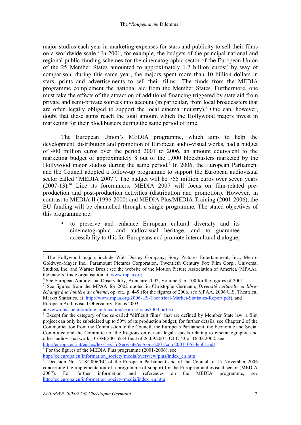major studios each year in marketing expenses for stars and publicity to sell their films on a worldwide scale.<sup>5</sup> In 2001, for example, the budgets of the principal national and regional public-funding schemes for the cinematographic sector of the European Union of the 25 Member States amounted to approximately 1.2 billion euros;<sup>6</sup> by way of comparison, during this same year, the majors spent more than 10 billion dollars in stars, prints and advertisements to sell their films.<sup>7</sup> The funds from the MEDIA programme complement the national aid from the Member States. Furthermore, one must take the effects of the attraction of additional financing triggered by state aid from private and semi-private sources into account (in particular, from local broadcasters that are often legally obliged to support the local cinema industry).<sup>8</sup> One can, however, doubt that these sums reach the total amount which the Hollywood majors invest in marketing for their blockbusters during the same period of time.

The European Union's MEDIA programme, which aims to help the development, distribution and promotion of European audio-visual works, had a budget of 400 million euros over the period 2001 to 2006, an amount equivalent to the marketing budget of approximately 8 out of the 1,000 blockbusters marketed by the Hollywood major studios during the same period.<sup>9</sup> In 2006, the European Parliament and the Council adopted a follow-up programme to support the European audiovisual sector called "MEDIA 2007". The budget will be 755 million euros over seven years (2007-13).<sup>10</sup> Like its forerunners, MEDIA 2007 will focus on film-related preproduction and post-production activities (distribution and promotion). However, in contrast to MEDIA II (1996-2000) and MEDIA Plus/MEDIA Training (2001-2006), the EU funding will be channelled through a single programme. The stated objectives of this programme are:

• to preserve and enhance European cultural diversity and its cinematographic and audiovisual heritage, and to guarantee accessibility to this for Europeans and promote intercultural dialogue;

http://europa.eu.int/eurlex/lex/LexUriServ/site/en/com/2001/com2001\_0534en01.pdf<br><sup>9</sup> For the figures of the MEDIA Plus programme (2001-2006), see:

For the figures of the MEDIA Plus programme (2001-2006), see:

 $\frac{1}{5}$ <sup>5</sup> The Hollywood majors include Walt Disney Company, Sony Pictures Entertainment, Inc., Metro-Goldwyn-Mayer Inc., Paramount Pictures Corporation, Twentieth Century Fox Film Corp., Universal Studios, Inc. and Warner Bros.; see the website of the Motion Picture Association of America (MPAA), the majors' trade organisation at: www.mpaa.org.

 $<sup>6</sup>$  See European Audiovisual Observatory, Annuaire 2002, Volume 3, p. 100 for the figures of 2001.</sup>

<sup>7</sup> See figures from the MPAA for 2002 quoted in Christophe Germann, *Diversité culturelle et libreéchange à la lumière du cinema*, op. cit., p. 449 (for the figures of 2006, see MPAA, 2006 U.S. Theatrical Market Statistics, at: http://www.mpaa.org/2006-US-Theatrical-Market-Statistics-Report.pdf), and European Audiovisual Obervatory, Focus 2003,

at:www.obs.coe.int/online\_publication/reports/focus2003.pdf.en

<sup>&</sup>lt;sup>8</sup> Except for the category of the so-called "difficult films" that are defined by Member State law, a film project can only be subsidised up to 50% of its production budget; for further details, see Chapter 2 of the Communication from the Commission to the Council, the European Parliament, the Economic and Social Committee and the Committee of the Regions on certain legal aspects relating to cinematographic and other audiovisual works, COM(2001)534 final of 26.09.2001, OJ C 43 of 16.02.2002; see:

http://ec.europa.eu/information\_society/media/overview/plus/index\_en.htm.<br><sup>10</sup> Decision No 1718/2006/EC of the European Parliament and of the Council of 15 November 2006 concerning the implementation of a programme of support for the European audiovisual sector (MEDIA 2007). For further information and references on the MEDIA programme, see http://ec.europa.eu/information\_society/media/index\_en.htm.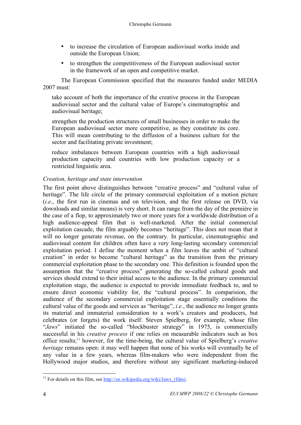- to increase the circulation of European audiovisual works inside and outside the European Union;
- to strengthen the competitiveness of the European audiovisual sector in the framework of an open and competitive market.

The European Commission specified that the measures funded under MEDIA 2007 must:

take account of both the importance of the creative process in the European audiovisual sector and the cultural value of Europe's cinematographic and audiovisual heritage;

strengthen the production structures of small businesses in order to make the European audiovisual sector more competitive, as they constitute its core. This will mean contributing to the diffusion of a business culture for the sector and facilitating private investment;

reduce imbalances between European countries with a high audiovisual production capacity and countries with low production capacity or a restricted linguistic area.

### *Creation, heritage and state intervention*

The first point above distinguishes between "creative process" and "cultural value of heritage". The life circle of the primary commercial exploitation of a motion picture (*i.e.*, the first run in cinemas and on television, and the first release on DVD, via downloads and similar means) is very short. It can range from the day of the première in the case of a flop, to approximately two or more years for a worldwide distribution of a high audience-appeal film that is well-marketed. After the initial commercial exploitation cascade, the film arguably becomes "heritage". This does not mean that it will no longer generate revenue, on the contrary. In particular, cinematographic and audiovisual content for children often have a very long-lasting secondary commercial exploitation period. I define the moment when a film leaves the ambit of "cultural creation" in order to become "cultural heritage" as the transition from the primary commercial exploitation phase to the secondary one. This definition is founded upon the assumption that the "creative process" generating the so-called cultural goods and services should extend to their initial access to the audience. In the primary commercial exploitation stage, the audience is expected to provide immediate feedback to, and to ensure direct economic viability for, the "cultural process". In comparision, the audience of the secondary commercial exploitation stage essentially conditions the cultural value of the goods and services as "heritage", *i.e.*, the audience no longer grants its material and immaterial consideration to a work's creators and producers, but celebrates (or forgets) the work itself. Steven Spielberg, for example, whose film "*Jaws*" initiated the so-called "blockbuster strategy" in 1975, is commercially successful in his *creative process* if one relies on measurable indicators such as box office results;11 however, for the time-being, the cultural value of Spielberg's *creative heritage* remains open: it may well happen that none of his works will eventually be of any value in a few years, whereas film-makers who were independent from the Hollywood major studios, and therefore without any significant marketing-induced

<sup>&</sup>lt;sup>11</sup> For details on this film, see http://en.wikipedia.org/wiki/Jaws (film).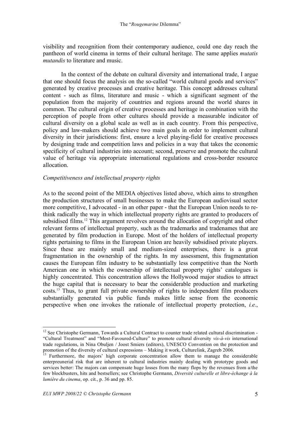visibility and recognition from their contemporary audience, could one day reach the pantheon of world cinema in terms of their cultural heritage. The same applies *mutatis mutandis* to literature and music.

In the context of the debate on cultural diversity and international trade, I argue that one should focus the analysis on the so-called "world cultural goods and services" generated by creative processes and creative heritage. This concept addresses cultural content - such as films, literature and music - which a significant segment of the population from the majority of countries and regions around the world shares in common. The cultural origin of creative processes and heritage in combination with the perception of people from other cultures should provide a measurable indicator of cultural diversity on a global scale as well as in each country. From this perspective, policy and law-makers should achieve two main goals in order to implement cultural diversity in their jurisdictions: first, ensure a level playing-field for creative processes by designing trade and competition laws and policies in a way that takes the economic specificity of cultural industries into account; second, preserve and promote the cultural value of heritage via appropriate international regulations and cross-border resource allocation.

### *Competitiveness and intellectual property rights*

As to the second point of the MEDIA objectives listed above, which aims to strengthen the production structures of small businesses to make the European audiovisual sector more competitive, I advocated - in an other paper - that the European Union needs to rethink radically the way in which intellectual property rights are granted to producers of subsidised films.<sup>12</sup> This argument revolves around the allocation of copyright and other relevant forms of intellectual property, such as the trademarks and tradenames that are generated by film production in Europe. Most of the holders of intellectual property rights pertaining to films in the European Union are heavily subsidised private players. Since these are mainly small and medium-sized enterprises, there is a great fragmentation in the ownership of the rights. In my assessment, this fragmentation causes the European film industry to be substantially less competitive than the North American one in which the ownership of intellectual property rights' catalogues is highly concentrated. This concentration allows the Hollywood major studios to attract the huge capital that is necessary to bear the considerable production and marketing costs.13 Thus, to grant full private ownership of rights to independent film producers substantially generated via public funds makes little sense from the economic perspective when one invokes the rationale of intellectual property protection, *i.e.*,

<sup>&</sup>lt;sup>12</sup> See Christophe Germann, Towards a Cultural Contract to counter trade related cultural discrimination -"Cultural Treatment" and "Most-Favoured-Culture" to promote cultural diversity *vis-à-vis* international trade regulations, in Nina Obuljen / Joost Smiers (editors), UNESCO Convention on the protection and promotion of the diversity of cultural expressions – Making it work, Culturelink, Zagreb 2006.<br><sup>13</sup> Furthermore, the majors' high corporate concentration allow them to manage the considerable

enterpreunerial risk that are inherent to cultural industries mainly dealing with prototype goods and services better: The majors can compensate huge losses from the many flops by the revenues from a/the few blockbusters, hits and bestsellers; see Christophe Germann, *Diversité culturelle et libre-échange à la lumière du cinema*, op. cit., p. 36 and pp. 85.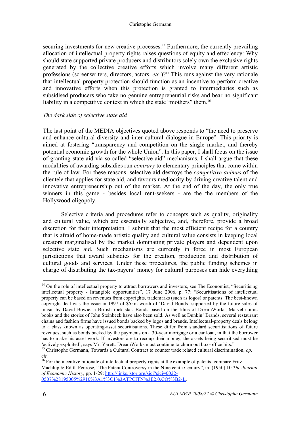securing investments for new creative processes.<sup>14</sup> Furthermore, the currently prevailing allocation of intellectual property rights raises questions of equity and effeciency: Why should state supported private producers and distributors solely own the exclusive rights generated by the collective creative efforts which involve many different artistic professions (screenwriters, directors, actors, *etc*.)?15 This runs against the very rationale that intellectual property protection should function as an incentive to perform creative and innovative efforts when this protection is granted to intermediaries such as subsidised producers who take no genuine entrepreneurial risks and bear no significant liability in a competitive context in which the state "mothers" them.<sup>16</sup>

#### *The dark side of selective state aid*

The last point of the MEDIA objectives quoted above responds to "the need to preserve and enhance cultural diversity and inter-cultural dialogue in Europe". This priority is aimed at fostering "transparency and competition on the single market, and thereby potential economic growth for the whole Union". In this paper, I shall focus on the issue of granting state aid via so-called "selective aid" mechanisms. I shall argue that these modalities of awarding subsidies run *contrary* to elementary principles that come within the rule of law. For these reasons, selective aid destroys the *competitive animus* of the clientele that applies for state aid, and favours mediocrity by driving creative talent and innovative entrepreneurship out of the market. At the end of the day, the only true winners in this game - besides local rent-seekers - are the the members of the Hollywood oligopoly.

Selective criteria and procedures refer to concepts such as quality, originality and cultural value, which are essentially subjective, and, therefore, provide a broad discretion for their interpretation. I submit that the most efficient recipe for a country that is afraid of home-made artistic quality and cultural value consists in keeping local creators marginalised by the market dominating private players and dependent upon selective state aid. Such mechanisms are currently in force in most European jurisdictions that award subsidies for the creation, production and distribution of cultural goods and services. Under these procedures, the public funding schemes in charge of distributing the tax-payers' money for cultural purposes can hide everything

<sup>&</sup>lt;sup>14</sup> On the role of intellectual property to attract borrowers and investors, see The Economist, "Securitising intellectual property - Intangible opportunities", 17 June 2006, p. 77: "Securitisations of intellectual property can be based on revenues from copyrights, trademarks (such as logos) or patents. The best-known copyright deal was the issue in 1997 of \$55m-worth of 'David Bonds' supported by the future sales of music by David Bowie, a British rock star. Bonds based on the films of DreamWorks, Marvel comic books and the stories of John Steinbeck have also been sold. As well as Dunkin' Brands, several restaurant chains and fashion firms have issued bonds backed by logos and brands. Intellectual-property deals belong to a class known as operating-asset securitisations. These differ from standard securitisations of future revenues, such as bonds backed by the payments on a 30-year mortgage or a car loan, in that the borrower has to make his asset work. If investors are to recoup their money, the assets being securitised must be

<sup>&#</sup>x27;actively exploited', says Mr. Yarett: DreamWorks must continue to churn out box-office hits." 15 Christophe Germann, Towards a Cultural Contract to counter trade related cultural discrimination, *op.* 

*cit.* <sup>16</sup> For the incentive rationale of intellectual property rights at the example of patents, compare Fritz <sup>16</sup> For the incentive rationale of intellectual property rights at the Nineteenth Century'' in: (1950) 10 *T* Machlup & Edith Penrose, "The Patent Controversy in the Nineteenth Century", in: (1950) 10 *The Journal of Economic History*, pp. 1-29: http://links.jstor.org/sici?sici=0022- 0507%28195005%2910%3A1%3C1%3ATPCITN%3E2.0.CO%3B2-L.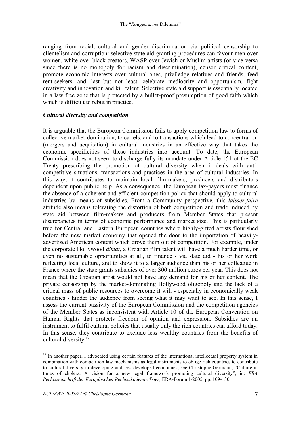ranging from racial, cultural and gender discrimination via political censorship to clientelism and corruption: selective state aid granting procedures can favour men over women, white over black creators, WASP over Jewish or Muslim artists (or vice-versa since there is no monopoly for racism and discrimination), censor critical content, promote economic interests over cultural ones, priviledge relatives and friends, feed rent-seekers, and, last but not least, celebrate mediocrity and opportunism, fight creativity and innovation and kill talent. Selective state aid support is essentially located in a law free zone that is protected by a bullet-proof presumption of good faith which which is difficult to rebut in practice.

### *Cultural diversity and competition*

It is arguable that the European Commission fails to apply competition law to forms of collective market-domination, to cartels, and to transactions which lead to concentration (mergers and acquisition) in cultural industries in an effective way that takes the economic specificities of these industries into account. To date, the European Commission does not seem to discharge fully its mandate under Article 151 of the EC Treaty prescribing the promotion of cultural diversity when it deals with anticompetitive situations, transactions and practices in the area of cultural industries. In this way, it contributes to maintain local film-makers, producers and distributors dependent upon public help. As a consequence, the European tax-payers must finance the absence of a coherent and efficient competition policy that should apply to cultural industries by means of subsidies. From a Community perspective, this *laissez-faire* attitude also means tolerating the distortion of both competition and trade induced by state aid between film-makers and producers from Member States that present discrepancies in terms of economic performance and market size. This is particularly true for Central and Eastern European countries where highly-gifted artists flourished before the new market economy that opened the door to the importation of heavilyadvertised American content which drove them out of competition. For example, under the corporate Hollywood *diktat*, a Croatian film talent will have a much harder time, or even no sustainable opportunities at all, to finance - via state aid - his or her work reflecting local culture, and to show it to a larger audience than his or her colleague in France where the state grants subsidies of over 300 million euros per year. This does not mean that the Croatian artist would not have any demand for his or her content. The private censorship by the market-dominating Hollywood oligopoly and the lack of a critical mass of public resources to overcome it will - especially in economically weak countries - hinder the audience from seeing what it may want to see. In this sense, I assess the current passivity of the European Commission and the competition agencies of the Member States as inconsistent with Article 10 of the European Convention on Human Rights that protects freedom of opinion and expression. Subsidies are an instrument to fulfil cultural policies that usually only the rich countries can afford today. In this sense, they contribute to exclude less wealthy countries from the benefits of cultural diversity.<sup>17</sup>

<sup>&</sup>lt;sup>17</sup> In another paper, I advocated using certain features of the international intellectual property system in combination with competition law mechanisms as legal instruments to oblige rich countries to contribute to cultural diversity in developing and less developed economies; see Christophe Germann, "Culture in times of cholera, A vision for a new legal framework promoting cultural diversity", in: *ERA Rechtszeitschrift der Europäischen Rechtsakademie Trier*, ERA-Forum 1/2005, pp. 109-130.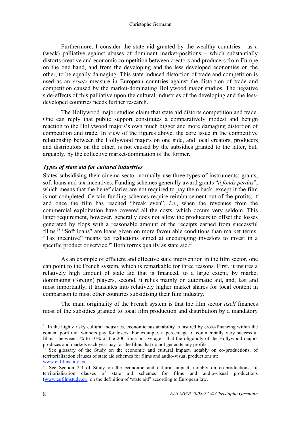Furthermore, I consider the state aid granted by the wealthy countries - as a (weak) palliative against abuses of dominant market-positions – which substantially distorts creative and economic competition between creators and producers from Europe on the one hand, and from the developing and the less developed economies on the other, to be equally damaging. This state induced distortion of trade and competition is used as an *ersatz* measure in European countries against the distortion of trade and competition caused by the market-dominating Hollywood major studios. The negative side-effects of this palliative upon the cultural industries of the developing and the lessdeveloped countries needs further research.

The Hollywood major studios claim that state aid distorts competition and trade. One can reply that public support constitutes a comparatively modest and benign reaction to the Hollywood majors's own much bigger and more damaging distortion of competition and trade. In view of the figures above, the core issue in the competitive relationship between the Hollywood majors on one side, and local creators, producers and distributors on the other, is not caused by the subsidies granted to the latter, but, arguably, by the collective market-domination of the former.

#### *Types of state aid for cultural industries*

States subsidising their cinema sector normally use three types of instruments: grants, soft loans and tax incentives. Funding schemes generally award grants "*à fonds perdus*", which means that the beneficiaries are not required to pay them back, except if the film is not completed. Certain funding schemes require reimbursement out of the profits, if and once the film has reached "break even", *i.e.*, when the revenues from the commercial exploitation have covered all the costs, which occurs very seldom. This latter requirement, however, generally does not allow the producers to offset the losses generated by flops with a reasonable amount of the receipts earned from successful films.<sup>18</sup> "Soft loans" are loans given on more favourable conditions than market terms. "Tax incentive" means tax reductions aimed at encouraging investors to invest in a specific product or service.<sup>19</sup> Both forms qualify as state aid.<sup>20</sup>

As an example of efficient and effective state intervention in the film sector, one can point to the French system, which is remarkable for three reasons. First, it insures a relatively high amount of state aid that is financed, to a large extent, by market dominating (foreign) players, second, it relies mainly on automatic aid, and, last and most importantly, it translates into relatively higher market shares for local content in comparison to most other countries subsidising their film industry.

The main originality of the French system is that the film sector *itself* finances most of the subsidies granted to local film production and distribution by a mandatory

<sup>&</sup>lt;sup>18</sup> In the highly risky cultural industries, economic sustainability is insured by cross-financing within the content portfolio: winners pay for losers. For example, a percentage of commercially very successful films - between 5% to 10% of the 200 films on average - that the oligopoly of the Hollywood majors

See glossary of the Study on the economic and cultural impact, notably on co-productions, of territorialisation clauses of state aid schemes for films and audio-visual productions at:

www.eufilmstudy.eu.<br> $\frac{20}{20}$  See Section 2.3 of Study on the economic and cultural impact, notably on co-productions, of territorialisation clauses of state aid schemes for films and audio-visual productions (www.eufilmstudy.eu) on the definition of "state aid" according to European law.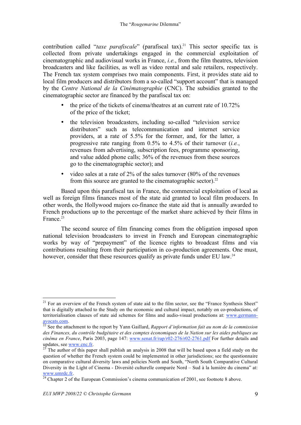contribution called "*taxe parafiscale*" (parafiscal tax).<sup>21</sup> This sector specific tax is collected from private undertakings engaged in the commercial exploitation of cinematographic and audiovisual works in France, *i.e.*, from the film theatres, television broadcasters and like facilities, as well as video rental and sale retailers, respectively. The French tax system comprises two main components. First, it provides state aid to local film producers and distributors from a so-called "support account" that is managed by the *Centre National de la Cinématographie* (CNC). The subsidies granted to the cinematographic sector are financed by the parafiscal tax on:

- the price of the tickets of cinema/theatres at an current rate of 10.72% of the price of the ticket;
- the television broadcasters, including so-called "television service distributors" such as telecommunication and internet service providers, at a rate of 5.5% for the former, and, for the latter, a progressive rate ranging from 0.5% to 4.5% of their turnover (*i.e.*, revenues from advertising, subscription fees, programme sponsoring, and value added phone calls; 36% of the revenues from these sources go to the cinematographic sector); and
- video sales at a rate of 2% of the sales turnover (80% of the revenues from this source are granted to the cinematographic sector).<sup>22</sup>

Based upon this parafiscal tax in France, the commercial exploitation of local as well as foreign films finances most of the state aid granted to local film producers. In other words, the Hollywood majors co-finance the state aid that is annually awarded to French productions up to the percentage of the market share achieved by their films in France<sup>23</sup>

The second source of film financing comes from the obligation imposed upon national television broadcasters to invest in French and European cinematographic works by way of "prepayment" of the licence rights to broadcast films and via contributions resulting from their participation in co-production agreements. One must, however, consider that these resources qualify as private funds under EU law.<sup>24</sup>

<sup>&</sup>lt;sup>21</sup> For an overview of the French system of state aid to the film sector, see the "France Synthesis Sheet" that is digitally attached to the Study on the economic and cultural impact, notably on co-productions, of territorialisation clauses of state aid schemes for films and audio-visual productions at: www.germannavocats.com. 22 See the attachment to the report by Yann Gaillard, *Rapport d'information fait au nom de la commission* 

*des Finances, du contrôle budgétaire et des comptes économiques de la Nation sur les aides publiques au cinéma en France*, Paris 2003, page 147: www.senat.fr/rap/r02-276/r02-2761.pdf For further details and

The author of this paper shall publish an analysis in 2008 that will be based upon a field study on the question of whether the French system could be implemented in other jurisdictions; see the questionnaire on comparative cultural diversity laws and policies North and South, "North South Comparative Cultural Diversity in the Light of Cinema - Diversité culturelle comparée Nord – Sud à la lumière du cinema" at: www.umrdc.fr.<br><sup>24</sup> Chapter 2 of the European Commission's cinema communication of 2001, see footnote 8 above.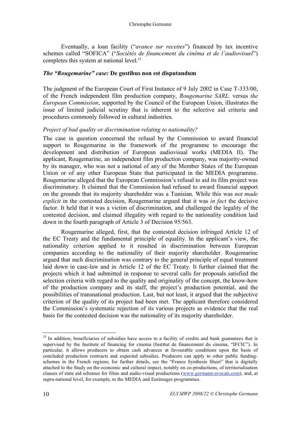Eventually, a loan facility ("*avance sur recettes*") financed by tax incentive schemes called "SOFICA" ("*Sociétés de financement du cinéma et de l'audiovisuel*") completes this system at national level.<sup>25</sup>

### *The "Rougemarine" case:* **De gustibus non est disputandum**

The judgment of the European Court of First Instance of 9 July 2002 in Case T-333/00, of the French independent film production company, *Rougemarine SARL*. versus *the European Commission*, supported by the Council of the European Union, illustrates the issue of limited judicial scrutiny that is inherent to the selective aid criteria and procedures commonly followed in cultural industries.

### *Project of bad quality or discrimination relating to nationality?*

The case in question concerned the refusal by the Commission to award financial support to Rougemarine in the framework of the programme to encourage the development and distribution of European audiovisual works (MEDIA II). The applicant, Rougemarine, an independent film production company, was majority-owned by its manager, who was not a national of any of the Member States of the European Union or of any other European State that participated in the MEDIA programme. Rougemarine alleged that the European Commission's refusal to aid its film project was discriminatory. It claimed that the Commission had refused to award financial support on the grounds that its majority shareholder was a Tunisian. While this was *not made explicit* in the contested decision, Rougemarine argued that it was *in fact* the decisive factor. It held that it was a victim of discrimination, and challenged the legality of the contested decision, and claimed illegality with regard to the nationality condition laid down in the fourth paragraph of Article 3 of Decision 95/563.

Rougemarine alleged, first, that the contested decision infringed Article 12 of the EC Treaty and the fundamental principle of equality. In the applicant's view, the nationality criterion applied to it resulted in discrimination between European companies according to the nationality of their majority shareholder. Rougemarine argued that such discrimination was contrary to the general principle of equal treatment laid down in case-law and in Article 12 of the EC Treaty. It further claimed that the projects which it had submitted in response to several calls for proposals satisfied the selection criteria with regard to the quality and originality of the concept, the know-how of the production company and its staff, the project's production potential, and the possibilities of transnational production. Last, but not least, it argued that the subjective criterion of the quality of its project had been met. The applicant therefore considered the Commission's systematic rejection of its various projects as evidence that the real basis for the contested decision was the nationality of its majority shareholder.

<sup>&</sup>lt;sup>25</sup> In addition, beneficiaries of subsidies have access to a facility of credits and bank guarantees that is supervised by the Institute of financing for cinema (Institut de financement du cinema, "IFCIC"). In particular, it allows producers to obtain cash advances at favourable conditions upon the basis of concluded production contracts and expected subsidies. Producers can apply to other public fundingschemes in the French regions; for further details, see the "France Synthesis Sheet" that is digitally attached to the Study on the economic and cultural impact, notably on co-productions, of territorialisation clauses of state aid schemes for films and audio-visual productions (www.germann-avocats.com), and, at supra-national level, for example, to the MEDIA and Eurimages programmes.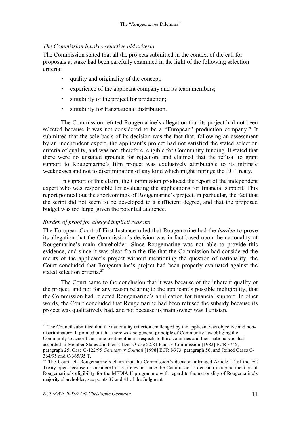### *The Commission invokes selective aid criteria*

The Commission stated that all the projects submitted in the context of the call for proposals at stake had been carefully examined in the light of the following selection criteria:

- quality and originality of the concept;
- experience of the applicant company and its team members;
- suitability of the project for production;
- suitability for transnational distribution.

The Commission refuted Rougemarine's allegation that its project had not been selected because it was not considered to be a "European" production company.<sup>26</sup> It submitted that the sole basis of its decision was the fact that, following an assessment by an independent expert, the applicant's project had not satisfied the stated selection criteria of quality, and was not, therefore, eligible for Community funding. It stated that there were no unstated grounds for rejection, and claimed that the refusal to grant support to Rougemarine's film project was exclusively attributable to its intrinsic weaknesses and not to discrimination of any kind which might infringe the EC Treaty.

In support of this claim, the Commission produced the report of the independent expert who was responsible for evaluating the applications for financial support. This report pointed out the shortcomings of Rougemarine's project, in particular, the fact that the script did not seem to be developed to a sufficient degree, and that the proposed budget was too large, given the potential audience.

### *Burden of proof for alleged implicit reasons*

The European Court of First Instance ruled that Rougemarine had the *burden* to prove its allegation that the Commission's decision was in fact based upon the nationality of Rougemarine's main shareholder. Since Rougemarine was not able to provide this evidence, and since it was clear from the file that the Commission had considered the merits of the applicant's project without mentioning the question of nationality, the Court concluded that Rougemarine's project had been properly evaluated against the stated selection criteria.<sup>27</sup>

The Court came to the conclusion that it was because of the inherent quality of the project, and not for any reason relating to the applicant's possible ineligibility, that the Commission had rejected Rougemarine's application for financial support. In other words, the Court concluded that Rougemarine had been refused the subsidy because its project was qualitatively bad, and not because its main owner was Tunisian.

<sup>&</sup>lt;sup>26</sup> The Council submitted that the nationality criterion challenged by the applicant was objective and nondiscriminatory. It pointed out that there was no general principle of Community law obliging the Community to accord the same treatment in all respects to third countries and their nationals as that accorded to Member States and their citizens Case 52/81 Faust v Commission [1982] ECR 3745, paragraph 25; Case C-122/95 *Germany* v *Council* [1998] ECR I-973, paragraph 56; and Joined Cases C-

<sup>364/95</sup> and C-365/95 T. 27 The Court left Rougemarine's claim that the Commission's decision infringed Article 12 of the EC Treaty open because it considered it as irrelevant since the Commission's decision made no mention of Rougemarine's eligibility for the MEDIA II programme with regard to the nationality of Rougemarine's majority shareholder; see points 37 and 41 of the Judgment.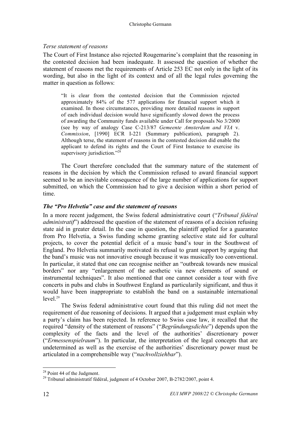### *Terse statement of reasons*

The Court of First Instance also rejected Rougemarine's complaint that the reasoning in the contested decision had been inadequate. It assessed the question of whether the statement of reasons met the requirements of Article 253 EC not only in the light of its wording, but also in the light of its context and of all the legal rules governing the matter in question as follows:

"It is clear from the contested decision that the Commission rejected approximately 84% of the 577 applications for financial support which it examined. In those circumstances, providing more detailed reasons in support of each individual decision would have significantly slowed down the process of awarding the Community funds available under Call for proposals No 3/2000 (see by way of analogy Case C-213/87 *Gemeente Amsterdam and VIA* v. *Commission*, [1990] ECR I-221 (Summary publication), paragraph 2). Although terse, the statement of reasons in the contested decision did enable the applicant to defend its rights and the Court of First Instance to exercise its supervisory jurisdiction."<sup>28</sup>

The Court therefore concluded that the summary nature of the statement of reasons in the decision by which the Commission refused to award financial support seemed to be an inevitable consequence of the large number of applications for support submitted, on which the Commission had to give a decision within a short period of time.

### *The "Pro Helvetia" case and the statement of reasons*

In a more recent judgement, the Swiss federal administrative court ("*Tribunal fédéral administratif*") addressed the question of the statement of reasons of a decision refusing state aid in greater detail. In the case in question, the plaintiff applied for a guarantee from Pro Helvetia, a Swiss funding scheme granting selective state aid for cultural projects, to cover the potential deficit of a music band's tour in the Southwest of England. Pro Helvetia summarily motivated its refusal to grant support by arguing that the band's music was not innovative enough because it was musically too conventional. In particular, it stated that one can recognise neither an "outbreak towards new musical borders" nor any "enlargement of the aesthetic via new elements of sound or instrumental techniques". It also mentioned that one cannot consider a tour with five concerts in pubs and clubs in Southwest England as particularily significant, and thus it would have been inappropriate to establish the band on a sustainable international  $level<sup>29</sup>$ 

The Swiss federal administrative court found that this ruling did not meet the requirement of due reasoning of decisions. It argued that a judgement must explain why a party's claim has been rejected. In reference to Swiss case law, it recalled that the required "density of the statement of reasons" ("*Begründungsdichte*") depends upon the complexity of the facts and the level of the authorities' discretionary power ("*Ermessenspielraum*"). In particular, the interpretation of the legal concepts that are undetermined as well as the exercise of the authorities' discretionary power must be articulated in a comprehensible way ("*nachvollziehbar*").

<sup>&</sup>lt;sup>28</sup> Point 44 of the Judgment.

<sup>&</sup>lt;sup>29</sup> Tribunal administratif fédéral, judgment of 4 October 2007, B-2782/2007, point 4.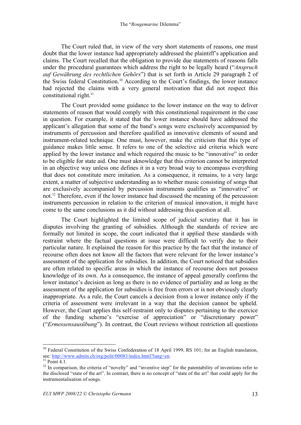The Court ruled that, in view of the very short statements of reasons, one must doubt that the lower instance had appropriately addressed the plaintiff's application and claims. The Court recalled that the obligation to provide due statements of reasons falls under the procedural guarantees which address the right to be legally heard ("*Anspruch auf Gewährung des rechtlichen Gehörs*") that is set forth in Article 29 paragraph 2 of the Swiss federal Constitution.<sup>30</sup> According to the Court's findings, the lower instance had rejected the claims with a very general motivation that did not respect this constitutional right. $31$ 

The Court provided some guidance to the lower instance on the way to deliver statements of reason that would comply with this constitutional requirement in the case in question. For example, it stated that the lower instance should have addressed the applicant's allegation that some of the band's songs were exclusively accompanied by instruments of percussion and therefore qualified as innovative elements of sound and instrument-related technique. One must, however, make the criticism that this type of guidance makes little sense. It refers to one of the selective aid criteria which were applied by the lower instance and which required the music to be "innovative" in order to be eligible for state aid. One must aknowledge that this criterion cannot be interpreted in an objective way unless one defines it in a very broad way to encompass everything that does not constitute mere imitation. As a consequence, it remains, to a very large extent, a matter of subjective understanding as to whether music consisting of songs that are exclusively accompanied by percussion instruments qualifies as "innovative" or not.<sup>32</sup> Therefore, even if the lower instance had discussed the meaning of the percussion instruments percussion in relation to the criterion of musical innovation, it might have come to the same conclusions as it did without addressing this question at all.

The Court highlighted the limited scope of judicial scrutiny that it has in disputes involving the granting of subsidies. Although the standards of review are formally not limited in scope, the court indicated that it applied these standards with restraint where the factual questions at issue were difficult to verify due to their particular nature. It explained the reason for this practice by the fact that the instance of recourse often does not know all the factors that were relevant for the lower instance's assessment of the application for subsidies. In addition, the Court noticed that subsidies are often related to specific areas in which the instance of recourse does not possess knowledge of its own. As a consequence, the instance of appeal generally confirms the lower instance's decision as long as there is no evidence of partiality and as long as the assessment of the application for subsidies is free from errors or is not obviously clearly inappropriate. As a rule, the Court cancels a decision from a lower instance only if the criteria of assessment were irrelevant in a way that the decision cannot be upheld. However, the Court applies this self-restraint only to disputes pertaining to the exercice of the funding scheme's "exercise of appreciation" or "discretionary power" ("*Ermessensausübung*"). In contrast, the Court reviews without restriction all questions

<sup>&</sup>lt;sup>30</sup> Federal Constitution of the Swiss Confederation of 18 April 1999, RS 101; for an English translation, see: http://www.admin.ch/org/polit/00083/index.html?lang=en.<br><sup>31</sup> Point 4.1.

<sup>&</sup>lt;sup>32</sup> In comparison, the criteria of "novelty" and "inventive step" for the patentability of inventions refer to the disclosed "state of the art". In contrast, there is no concept of "state of the art" that could apply for the instrumentalisation of songs.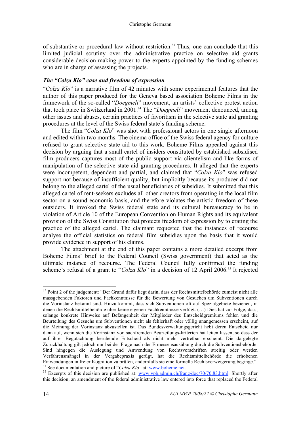of substantive or procedural law without restriction.<sup>33</sup> Thus, one can conclude that this limited judicial scrutiny over the administrative practice on selective aid grants considerable decision-making power to the experts appointed by the funding schemes who are in charge of assessing the projects.

### *The "Colza Klo" case and freedom of expression*

"*Colza Klo*" is a narrative film of 42 minutes with some experimental features that the author of this paper produced for the Geneva based association Boheme Films in the framework of the so-called "*Doegmeli*" movement, an artists' collective protest action that took place in Switzerland in 2001.<sup>34</sup> The "*Doegmeli*" movement denounced, among other issues and abuses, certain practices of favoritism in the selective state aid granting procedures at the level of the Swiss federal state's funding scheme.

The film "*Colza Klo*" was shot with professional actors in one single afternoon and edited within two months. The cinema office of the Swiss federal agency for culture refused to grant selective state aid to this work. Boheme Films appealed against this decision by arguing that a small cartel of insiders constituted by established subsidised film producers captures most of the public support via clientelism and like forms of manipulation of the selective state aid granting procedures. It alleged that the experts were incompetent, dependent and partial, and claimed that "*Colza Klo*" was refused support not because of insufficient quality, but implicitly because its producer did not belong to the alleged cartel of the usual beneficiaries of subsidies. It submitted that this alleged cartel of rent-seekers excludes all other creators from operating in the local film sector on a sound economic basis, and therefore violates the artistic freedom of these outsiders. It invoked the Swiss federal state and its cultural bureaucracy to be in violation of Article 10 of the European Convention on Human Rights and its equivalent provision of the Swiss Constitution that protects freedom of expression by tolerating the practice of the alleged cartel. The claimant requested that the instances of recourse analyse the official statistics on federal film subsidies upon the basis that it would provide evidence in support of his claims.

The attachment at the end of this paper contains a more detailed excerpt from Boheme Films' brief to the Federal Council (Swiss government) that acted as the ultimate instance of recourse. The Federal Council fully confirmed the funding scheme's refusal of a grant to "*Colza Klo*" in a decision of 12 April 2006.<sup>35</sup> It rejected

<sup>&</sup>lt;sup>33</sup> Point 2 of the judgement: "Der Grund dafür liegt darin, dass der Rechtsmittelbehörde zumeist nicht alle massgebenden Faktoren und Fachkenntnisse für die Bewertung von Gesuchen um Subventionen durch die Vorinstanz bekannt sind. Hinzu kommt, dass sich Subventionen oft auf Spezialgebiete beziehen, in denen die Rechtsmittelbehörde über keine eigenen Fachkenntnisse verfügt. (…) Dies hat zur Folge, dass, solange konkrete Hinweise auf Befangenheit der Mitglieder des Entscheidgremiums fehlen und die Beurteilung des Gesuchs um Subventionen nicht als fehlerhaft oder völlig unangemessen erscheint, auf die Meinung der Vorinstanz abzustellen ist. Das Bundesverwaltungsgericht hebt deren Entscheid nur dann auf, wenn sich die Vorinstanz von sachfremden Beurteilungs-kriterien hat leiten lassen, so dass der auf ihrer Begutachtung beruhende Entscheid als nicht mehr vertretbar erscheint. Die dargelegte Zurückhaltung gilt jedoch nur bei der Frage nach der Ermessensausübung durch die Subventionsbehörde. Sind hingegen die Auslegung und Anwendung von Rechtsvorschriften streitig oder werden Verfahrensmängel in der Vergabepraxis gerügt, hat die Rechtsmittelbehörde die erhobenen Einwendungen in freier Kognition zu prüfen, andernfalls sie eine formelle Rechtsverweigerung beginge."<br><sup>34</sup> See documentation and picture of "Colza Klo" at: www.boheme.net.

<sup>&</sup>lt;sup>35</sup> Excerpts of this decision are published at: www.vpb.admin.ch/franz/doc/70/70.83.html. Shortly after this decision, an amendment of the federal administrative law entered into force that replaced the Federal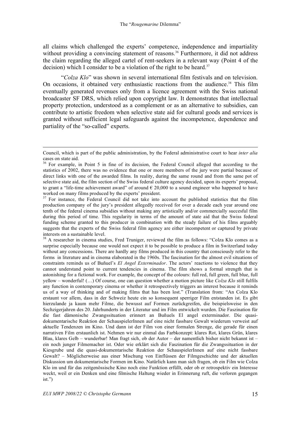all claims which challenged the experts' competence, independence and impartiality without providing a convincing statement of reasons.<sup>36</sup> Furthermore, it did not address the claim regarding the alleged cartel of rent-seekers in a relevant way (Point 4 of the decision) which I consider to be a violation of the right to be heard.<sup>37</sup>

"*Colza Klo*" was shown in several international film festivals and on television. On occasions, it obtained very enthusiastic reactions from the audience.<sup>38</sup> This film eventually generated revenues only from a licence agreement with the Swiss national broadcaster SF DRS, which relied upon copyright law. It demonstrates that intellectual property protection, understood as a complement or as an alternative to subsidies, can contribute to artistic freedom when selective state aid for cultural goods and services is granted without sufficient legal safeguards against the incompetence, dependence and partiality of the "so-called" experts.

Council, which is part of the public administration, by the Federal administrative court to hear *inter alia* cases on state aid.

<sup>&</sup>lt;sup>36</sup> For example, in Point 5 in fine of its decision, the Federal Council alleged that according to the statistics of 2002, there was no evidence that one or more members of the jury were partial because of direct links with one of the awarded films. In reality, during the same round and from the same pot of selective state aid, the film section of the Swiss federal culture agency decided, upon its experts' proposal, to grant a "life-time achievement award" of around  $\epsilon$  20,000 to a sound engineer who happened to have worked on many films produced by the experts' president.

<sup>&</sup>lt;sup>37</sup> For instance, the Federal Council did not take into account the published statistics that the film production company of the jury's president allegedly received for over a decade each year around one tenth of the federal cinema subsidies without making any artistically and/or commercially succesful film during this period of time. This regularity in terms of the amount of state aid that the Swiss federal funding scheme granted to this producer in combination with the steady failure of his films arguably suggests that the experts of the Swiss federal film agency are either incompetent or captured by private

interests on a sustainable level.<br><sup>38</sup> A researcher in cinema studies, Fred Truniger, reviewed the film as follows: "Colza Klo comes as a surprise especially because one would not expect it to be possible to produce a film in Switzerland today without any concessions. There are hardly any films produced in this country that consciously refer to the forms in literature and in cinema elaborated in the 1960s. The fascination for the almost evil situations of constraints reminds us of Buñuel's *El Angel Exterminador*. The actors' reactions to violence that they cannot understand point to current tendencies in cinema. The film shows a formal strength that is astonishing for a fictional work. For example, the concept of the colours: full red, full green, full blue, full yellow – wonderful! (…) Of course, one can question whether a motion picture like *Colza Klo* still fulfils any function in contemporary cinema or whether it retrospectively triggers an interest because it reminds us of a way of thinking and of making films that has been lost." (Translation from: "An Colza Klo erstaunt vor allem, dass in der Schweiz heute ein so konsequent sperriger Film entstanden ist. Es gibt hierzulande ja kaum mehr Filme, die bewusst auf Formen zurückgreifen, die beispielsweise in den Sechzigerjahren des 20. Jahrhunderts in der Literatur und im Film entwickelt wurden. Die Faszination für die fast dämonische Zwangssituation erinnert an Buñuels El angel exterminador. Die quasidokumentarische Reaktion der SchauspielerInnen auf eine nicht fassbare Gewalt wiederum verweist auf aktuelle Tendenzen im Kino. Und dann ist der Film von einer formalen Strenge, die gerade für einen narrativen Film erstaunlich ist. Nehmen wir nur einmal das Farbkonzept: klares Rot, klares Grün, klares Blau, klares Gelb – wunderbar! Man fragt sich, ob der Autor – der namentlich bisher nicht bekannt ist – ein noch junger Filmemacher ist. Oder wie erklärt sich die Faszination für die Zwangssituation in der Kiesgrube und die quasi-dokumentarische Reaktion der SchauspielerInnen auf eine nicht fassbare Gewalt? – Möglicherweise aus einer Mischung von Einflüssen der Filmgeschichte und der aktuellen Diskussion um dokumentarische Formen im Kino. Natürlich kann man sich fragen, ob ein Film wie Colza Klo im und für das zeitgenössische Kino noch eine Funktion erfüllt, oder ob er retrospektiv ein Interesse weckt, weil er ein Denken und eine filmische Haltung wieder in Erinnerung ruft, die verloren gegangen ist.")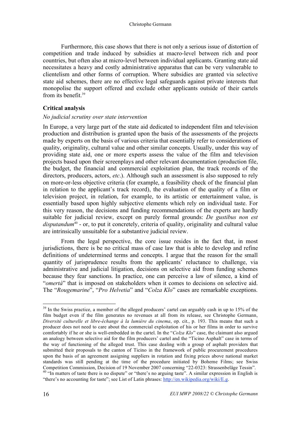Furthermore, this case shows that there is not only a serious issue of distortion of competition and trade induced by subsidies at macro-level between rich and poor countries, but often also at micro-level between individual applicants. Granting state aid necessitates a heavy and costly administrative apparatus that can be very vulnerable to clientelism and other forms of corruption. Where subsidies are granted via selective state aid schemes, there are no effective legal safeguards against private interests that monopolise the support offered and exclude other applicants outside of their cartels from its benefit.<sup>39</sup>

### **Critical analysis**

#### *No judicial scrutiny over state intervention*

In Europe, a very large part of the state aid dedicated to independent film and television production and distribution is granted upon the basis of the assessments of the projects made by experts on the basis of various criteria that essentially refer to considerations of quality, originality, cultural value and other similar concepts. Usually, under this way of providing state aid, one or more experts assess the value of the film and television projects based upon their screenplays and other relevant documentation (production file, the budget, the financial and commercial exploitation plan, the track records of the directors, producers, actors, *etc*.). Although such an assessment is also supposed to rely on more-or-less objective criteria (for example, a feasibility check of the financial plan in relation to the applicant's track record), the evaluation of the quality of a film or television project, in relation, for example, to its artistic or entertainment value, is essentially based upon highly subjective elements which rely on individual taste. For this very reason, the decisions and funding recommendations of the experts are hardly suitable for judicial review, except on purely formal grounds: *De gustibus non est*  disputandum<sup>40</sup> - or, to put it concretely, criteria of quality, originality and cultural value are intrinsically unsuitable for a substantive judicial review.

From the legal perspective, the core issue resides in the fact that, in most jurisdictions, there is be no critical mass of case law that is able to develop and refine definitions of undetermined terms and concepts. I argue that the reason for the small quantity of jurisprudence results from the applicants' reluctance to challenge, via administrative and judicial litigation, decisions on selective aid from funding schemes because they fear sanctions. In practice, one can perceive a law of silence, a kind of "*omertà*" that is imposed on stakeholders when it comes to decisions on selective aid. The "*Rougemarine*", "*Pro Helvetia*" and "*Colza Klo*" cases are remarkable exceptions.

<sup>&</sup>lt;sup>39</sup> In the Swiss practice, a member of the alleged producers' cartel can arguably cash in up to 15% of the film budget even if the film generates no revenues at all from its release, see Christophe Germann, *Diversité culturelle et libre-échange à la lumière du cinema*, op. cit., p. 193. This means that such a producer does not need to care about the commercial exploitation of his or her films in order to survive comfortably if he or she is well-embedded in the cartel. In the "*Colza Klo*" case, the claimant also argued an analogy between selective aid for the film producers' cartel and the "Ticino Asphalt" case in terms of the way of functioning of the alleged trust. This case dealing with a group of asphalt providers that submitted their proposals to the canton of Ticino in the framework of public procurement procedures upon the basis of an agreement assigning suppliers in rotation and fixing prices above national market standards was still pending at the time of the procedure initiated by Boheme Films; see Swiss Competition Commission, Decision of 19 November 2007 concerning "22-0323: Strassenbeläge Tessin". 40 "In matters of taste there is no dispute" or "there's no arguing taste". A similar expression in English is

<sup>&</sup>quot;there's no accounting for taste"; see List of Latin phrases: http://en.wikipedia.org/wiki/E.g.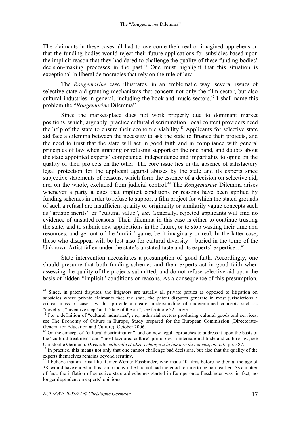The claimants in these cases all had to overcome their real or imagined apprehension that the funding bodies would reject their future applications for subsidies based upon the implicit reason that they had dared to challenge the quality of these funding bodies' decision-making processes in the past.<sup>41</sup> One must highlight that this situation is exceptional in liberal democracies that rely on the rule of law.

The *Rougemarine* case illustrates, in an emblematic way, several issues of selective state aid granting mechanisms that concern not only the film sector, but also cultural industries in general, including the book and music sectors.<sup>42</sup> I shall name this problem the "*Rougemarine* Dilemma".

Since the market-place does not work properly due to dominant market positions, which, arguably, practice cultural discrimination, local content providers need the help of the state to ensure their economic viability.<sup>43</sup> Applicants for selective state aid face a dilemma between the necessity to ask the state to finance their projects, and the need to trust that the state will act in good faith and in compliance with general principles of law when granting or refusing support on the one hand, and doubts about the state appointed experts' competence, independence and impartiality to opine on the quality of their projects on the other. The core issue lies in the absence of satisfactory legal protection for the applicant against abuses by the state and its experts since subjective statements of reasons, which form the essence of a decision on selective aid, are, on the whole, excluded from judicial control.44 The *Rougemarine* Dilemma arises whenever a party alleges that implicit conditions or reasons have been applied by funding schemes in order to refuse to support a film project for which the stated grounds of such a refusal are insufficient quality or originality or similarily vague concepts such as "artistic merits" or "cultural value", *etc*. Generally, rejected applicants will find no evidence of unstated reasons. Their dilemma in this case is either to continue trusting the state, and to submit new applications in the future, or to stop wasting their time and resources, and get out of the 'unfair' game, be it imaginary or real. In the latter case, those who disappear will be lost also for cultural diversity – buried in the tomb of the Unknown Artist fallen under the state's unstated taste and its experts' expertise…45

State intervention necessitates a presumption of good faith. Accordingly, one should presume that both funding schemes and their experts act in good faith when assessing the quality of the projects submitted, and do not refuse selective aid upon the basis of hidden "implicit" conditions or reasons. As a consequence of this presumption,

<sup>&</sup>lt;sup>41</sup> Since, in patent disputes, the litigators are usually all private parties as opposed to litigation on subsidies where private claimants face the state, the patent disputes generate in most jurisdictions a critical mass of case law that provide a clearer understanding of undetermined concepts such as "novelty", "inventive step" and "state of the art"; see footnote 32 above.

<sup>&</sup>lt;sup>42</sup> For a definition of "cultural industries", *i.e.*, industrial sectors producing cultural goods and services, see The Economy of Culture in Europe, Study prepared for the European Commission (Directorate-General for Education and Culture), October 2006.

<sup>&</sup>lt;sup>43</sup> On the concept of "cultural discrimination", and on new legal approaches to address it upon the basis of the "cultural treatment" and "most favoured culture" principles in international trade and culture law, see Christophe Germann, *Diversité culturelle et libre-échange à la lumière du cinema, op. cit.*, pp. 387.  $^{44}$  In practice, this means not only that one cannot challenge bad decisions, but also that the quality of the

experts themselves remains beyond scrutiny.

 $45$  I believe that an artist like Rainer Werner Fassbinder, who made 40 films before he died at the age of 38, would have ended in this tomb today if he had not had the good fortune to be born earlier. As a matter of fact, the inflation of selective state aid schemes started in Europe once Fassbinder was, in fact, no longer dependent on experts' opinions.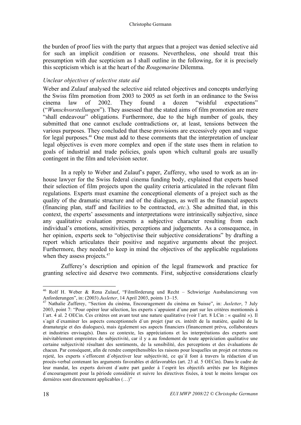the burden of proof lies with the party that argues that a project was denied selective aid for such an implicit condition or reasons. Nevertheless, one should treat this presumption with due scepticism as I shall outline in the following, for it is precisely this scepticism which is at the heart of the *Rougemarine* Dilemma.

### *Unclear objectives of selective state aid*

Weber and Zulauf analysed the selective aid related objectives and concepts underlying the Swiss film promotion from 2003 to 2005 as set forth in an ordinance to the Swiss cinema law of 2002. They found a dozen "wishful expectations" ("*Wunschvorstellungen*"). They assessed that the stated aims of film promotion are mere "shall endeavour" obligations. Furthermore, due to the high number of goals, they submitted that one cannot exclude contradictions or, at least, tensions between the various purposes. They concluded that these provisions are excessively open and vague for legal purposes.<sup>46</sup> One must add to these comments that the interpretation of unclear legal objectives is even more complex and open if the state uses them in relation to goals of industrial and trade policies, goals upon which cultural goals are usually contingent in the film and television sector.

In a reply to Weber and Zulauf's paper, Zufferey, who used to work as an inhouse lawyer for the Swiss federal cinema funding body, explained that experts based their selection of film projects upon the quality criteria articulated in the relevant film regulations. Experts must examine the conceptional elements of a project such as the quality of the dramatic structure and of the dialogues, as well as the financial aspects (financing plan, staff and facilities to be contracted, *etc*.). She admitted that, in this context, the experts' assessments and interpretations were intrinsically subjective, since any qualitative evaluation presents a subjective character resulting from each individual's emotions, sensitivities, perceptions and judgements. As a consequence, in her opinion, experts seek to "objectivise their subjective considerations" by drafting a report which articulates their positive and negative arguments about the project. Furthermore, they needed to keep in mind the objectives of the applicable regulations when they assess projects.<sup>47</sup>

Zufferey's description and opinion of the legal framework and practice for granting selective aid deserve two comments. First, subjective considerations clearly

 <sup>46</sup> Rolf H. Weber & Rena Zulauf, "Filmförderung und Recht – Schwierige Ausbalancierung von Anforderungen", in: (2003) *Jusletter*, 14 April 2003, points 13–15. 47 Nathalie Zufferey, "Section du cinéma, Encouragement du cinéma en Suisse", in: *Jusletter*, 7 July

<sup>2003,</sup> point 7: "Pour opérer leur sélection, les experts s´appuient d´une part sur les critères mentionnés à l´art. 4 al. 2 OECin. Ces critères ont avant tout une nature qualitative (voir l´art. 8 LCin : « qualité »). Il s´agit d´examiner les aspects conceptionnels d´un projet (par ex. intérêt de la matière, qualité de la dramaturgie et des dialogues), mais également ses aspects financiers (financement prévu, collaborateurs et industries envisagés). Dans ce contexte, les appréciations et les interprétations des experts sont inévitablement empreintes de subjectivité, car il y a au fondement de toute appréciation qualitative une certaine subjectivité résultant des sentiments, de la sensibilité, des perceptions et des évaluations de chacun. Par conséquent, afin de rendre compréhensibles les raisons pour lesquelles un projet est retenu ou rejeté, les experts s´efforcent d´objectiver leur subjectivité, ce qu´il font à travers la rédaction d´un procès-verbal contenant les arguments favorables et défavorables (art. 23 al. 5 OECin). Dans le cadre de leur mandat, les experts doivent d´autre part garder à l´esprit les objectifs arrêtés par les Régimes d´encouragement pour la période considérée et suivre les directives fixées, à tout le moins lorsque ces dernières sont directement applicables (…)"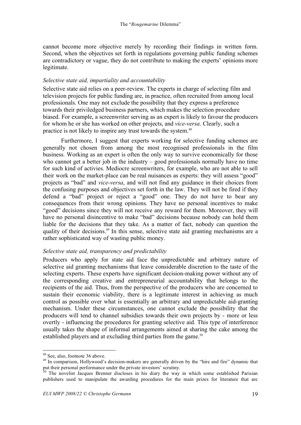cannot become more objective merely by recording their findings in written form. Second, when the objectives set forth in regulations governing public funding schemes are contradictory or vague, they do not contribute to making the experts' opinions more legitimate.

### *Selective state aid, impartiality and accountability*

Selective state aid relies on a peer-review. The experts in charge of selecting film and television projects for public funding are, in practice, often recruited from among local professionals. One may not exclude the possibility that they express a preference towards their priviledged business partners, which makes the selection procedure biased. For example, a screenwriter serving as an expert is likely to favour the producers for whom he or she has worked on other projects, and *vice-versa*. Clearly, such a practice is not likely to inspire any trust towards the system.48

Furthermore, I suggest that experts working for selective funding schemes are generally not chosen from among the most recognised professionals in the film business. Working as an expert is often the only way to survive economically for those who cannot get a better job in the industry – good professionals normally have no time for such kind of activies. Mediocre screenwriters, for example, who are not able to sell their work on the market-place can be real nuisances as experts: they will assess "good" projects as "bad" and *vice-versa*, and will not find any guidance in their choices from the confusing purposes and objectives set forth in the law. They will not be fired if they defend a "bad" project or reject a "good" one. They do not have to bear any consequences from their wrong opinions. They have no personal incentives to make "good" decisions since they will not receive any reward for them. Moreover, they will have no personal disincentive to make "bad" decisions because nobody can hold them liable for the decisions that they take. As a matter of fact, nobody can question the quality of their decisions.<sup>49</sup> In this sense, selective state aid granting mechanisms are a rather sophisticated way of wasting public money.

### *Selective state aid, transparency and predictability*

Producers who apply for state aid face the unpredictable and arbitrary nature of selective aid granting mechanisms that leave considerable discretion to the taste of the selecting experts. These experts have significant decision-making power without any of the corresponding creative and entrepreneurial accountability that belongs to the recipients of the aid. Thus, from the perspective of the producers who are concerned to sustain their economic viability, there is a legitimate interest in achieving as much control as possible over what is essentially an arbitrary and unpredictable aid-granting mechanism. Under these circumstances, one cannot exclude the possibility that the producers will tend to channel subsidies towards their own projects by - more or less overtly - influencing the procedures for granting selective aid. This type of interference usually takes the shape of informal arrangements aimed at sharing the cake among the established players and at excluding third parties from the game.<sup>50</sup>

<sup>&</sup>lt;sup>48</sup> See, also, footnote 36 above.<br><sup>49</sup> In comparison, Hollywood's decision-makers are generally driven by the "hire and fire" dynamic that put their personal performance under the private investors' scrutiny.<br><sup>50</sup> The novelist Jacques Brenner discloses in his diary the way in which some established Parisian

publishers used to manipulate the awarding procedures for the main prizes for literature that are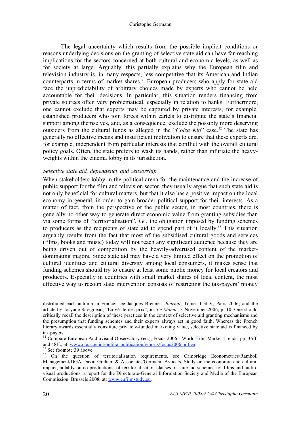#### Christophe Germann

The legal uncertainty which results from the possible implicit conditions or reasons underlying decisions on the granting of selective state aid can have far-reaching implications for the sectors concerned at both cultural and economic levels, as well as for society at large. Arguably, this partially explains why the European film and television industry is, in many respects, less competitive that its American and Indian counterparts in terms of market shares.<sup>51</sup> European producers who apply for state aid face the unpredictability of arbitrary choices made by experts who cannot be held accountable for their decisions. In particular, this situation renders financing from private sources often very problematical, especially in relation to banks. Furthermore, one cannot exclude that experts may be captured by private interests, for example, established producers who join forces within cartels to distribute the state's financial support among themselves, and, as a consequence, exclude the possibly more deserving outsiders from the cultural funds as alleged in the "*Colza Klo*" case.<sup>52</sup> The state has generally no effective means and insufficient motivation to ensure that these experts are, for example, independent from particular interests that conflict with the overall cultural policy goals. Often, the state prefers to wash its hands, rather than infuriate the heavyweights within the cinema lobby in its jurisdiction.

#### *Selective state aid, dependency and censorship*

When stakeholders lobby in the political arena for the maintenance and the increase of public support for the film and television sector, they usually argue that such state aid is not only beneficial for cultural matters, but that it also has a positive impact on the local economy in general, in order to gain broader political support for their interests. As a matter of fact, from the perspective of the public sector, in most countries, there is generally no other way to generate direct economic value from granting subsidies than via some forms of "territorialisation", *i.e.*, the obligation imposed by funding schemes to producers as the recipients of state aid to spend part of it locally.<sup>53</sup> This situation arguably results from the fact that most of the subsidised cultural goods and services (films, books and music) today will not reach any significant audience because they are being driven out of competition by the heavily-advertised content of the marketdominating majors. Since state aid may have a very limited effect on the promotion of cultural identities and cultural diversity among local consumers, it makes sense that funding schemes should try to ensure at least some public money for local creators and producers. Especially in countries with small market shares of local content, the most effective way to recoup state intervention consists of restricting the tax-payers' money

distributed each autumn in France; see Jacques Brenner, *Journal*, Tomes I et V, Paris 2006; and the article by Josyane Savigneau, "La vérité des prix", in: *Le Monde*, 3 November 2006, p. 10. One should critically recall the description of these practices in the context of selective aid granting mechanisms and the presumption that funding schemes and their experts always act in good faith. Whereas the French literary awards essentially constitute privately-funded marketing value, selective state aid is financed by tax payers.

<sup>&</sup>lt;sup>51</sup> Compare European Audiovisual Observatory (ed.), Focus 2006 - World Film Market Trends, pp. 36ff.<br>and 48ff., at: <u>www.obs.coe.int/online\_publication/reports/focus2006.pdf.en</u>.

<sup>&</sup>lt;sup>52</sup> See footnote 39 above.<br><sup>53</sup> On the question of territorialisation requirements, see Cambridge Econometrics/Ramboll Management/DGA David Graham & Associates/Germann Avocats, Study on the economic and cultural impact, notably on co-productions, of territorialisation clauses of state aid schemes for films and audiovisual productions, a report for the Directorate-General Information Society and Media of the European Commission, Brussels 2008, at: www.eufilmstudy.eu.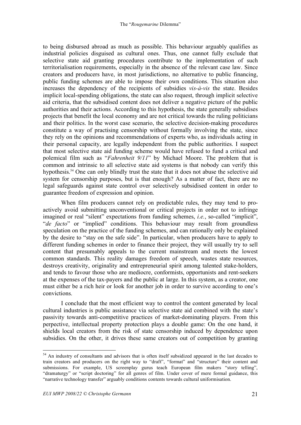to being disbursed abroad as much as possible. This behaviour arguably qualifies as industrial policies disguised as cultural ones. Thus, one cannot fully exclude that selective state aid granting procedures contribute to the implementation of such territorialisation requirements, especially in the absence of the relevant case law. Since creators and producers have, in most jurisdictions, no alternative to public financing, public funding schemes are able to impose their own conditions. This situation also increases the dependency of the recipients of subsidies *vis-à-vis* the state. Besides implicit local-spending obligations, the state can also request, through implicit selective aid criteria, that the subsidised content does not deliver a negative picture of the public authorities and their actions. According to this hypothesis, the state generally subsidises projects that benefit the local economy and are not critical towards the ruling politicians and their politics. In the worst case scenario, the selective decision-making procedures constitute a way of practising censorship without formally involving the state, since they rely on the opinions and recommendations of experts who, as individuals acting in their personal capacity, are legally independent from the public authorities. I suspect that most selective state aid funding scheme would have refused to fund a critical and polemical film such as "*Fahrenheit 9/11*" by Michael Moore. The problem that is common and intrinsic to all selective state aid systems is that nobody can verify this hypothesis.<sup>54</sup> One can only blindly trust the state that it does not abuse the selective aid system for censorship purposes, but is that enough? As a matter of fact, there are no legal safeguards against state control over selectively subsidised content in order to guarantee freedom of expression and opinion.

When film producers cannot rely on predictable rules, they may tend to proactively avoid submitting unconventional or critical projects in order not to infringe imagined or real "silent" expectations from funding schemes, *i.e.*, so-called "implicit", "*de facto*" or "implied" conditions. This behaviour may result from groundless speculation on the practice of the funding schemes, and can rationally only be explained by the desire to "stay on the safe side". In particular, when producers have to apply to different funding schemes in order to finance their project, they will usually try to sell content that presumably appeals to the current mainstream and meets the lowest common standards. This reality damages freedom of speech, wastes state resources, destroys creativity, originality and entrepreneurial spirit among talented stake-holders, and tends to favour those who are mediocre, conformists, opportunists and rent-seekers at the expenses of the tax-payers and the public at large. In this system, as a creator, one must either be a rich heir or look for another job in order to survive according to one's convictions.

I conclude that the most efficient way to control the content generated by local cultural industries is public assistance via selective state aid combined with the state's passivity towards anti-competitive practices of market-dominating players. From this perpective, intellectual property protection plays a double game: On the one hand, it shields local creators from the risk of state censorship induced by dependence upon subsidies. On the other, it drives these same creators out of competition by granting

<sup>&</sup>lt;sup>54</sup> An industry of consultants and advisors that is often itself subsidized appeared in the last decades to train creators and producers on the right way to "draft", "format" and "structure" their content and submissions. For example, US screenplay gurus teach European film makers "story telling", "dramaturgy" or "script doctoring" for all genres of film. Under cover of mere formal guidance, this "narrative technology transfer" arguably conditions contents towards cultural uniformisation.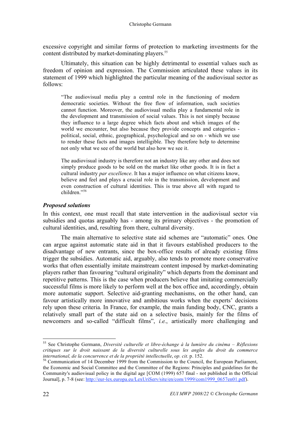excessive copyright and similar forms of protection to marketing investments for the content distributed by market-dominating players.<sup>55</sup>

Ultimately, this situation can be highly detrimental to essential values such as freedom of opinion and expression. The Commission articulated these values in its statement of 1999 which highlighted the particular meaning of the audiovisual sector as follows:

"The audiovisual media play a central role in the functioning of modern democratic societies. Without the free flow of information, such societies cannot function. Moreover, the audiovisual media play a fundamental role in the development and transmission of social values. This is not simply because they influence to a large degree which facts about and which images of the world we encounter, but also because they provide concepts and categories political, social, ethnic, geographical, psychological and so on - which we use to render these facts and images intelligible. They therefore help to determine not only what we see of the world but also how we see it.

The audiovisual industry is therefore not an industry like any other and does not simply produce goods to be sold on the market like other goods. It is in fact a cultural industry *par excellence*. It has a major influence on what citizens know, believe and feel and plays a crucial role in the transmission, development and even construction of cultural identities. This is true above all with regard to children<sup>"56</sup>

### *Proposed solutions*

In this context, one must recall that state intervention in the audiovisual sector via subsidies and quotas arguably has - among its primary objectives - the promotion of cultural identities, and, resulting from there, cultural diversity.

The main alternative to selective state aid schemes are "automatic" ones. One can argue against automatic state aid in that it favours established producers to the disadvantage of new entrants, since the box-office results of already existing films trigger the subsidies. Automatic aid, arguably, also tends to promote more conservative works that often essentially imitate mainstream content imposed by market-dominating players rather than favouring "cultural originality" which departs from the dominant and repetitive patterns. This is the case when producers believe that imitating commercially successful films is more likely to perform well at the box office and, accordingly, obtain more automatic support. Selective aid-granting mechanisms, on the other hand, can favour artistically more innovative and ambitious works when the experts' decisions rely upon these criteria. In France, for example, the main funding body, CNC, grants a relatively small part of the state aid on a selective basis, mainly for the films of newcomers and so-called "difficult films", *i.e.*, artistically more challenging and

 <sup>55</sup> See Christophe Germann, *Diversité culturelle et libre-échange à la lumière du cinéma – Réflexions critiques sur le droit naissant de la diversité culturelle sous les angles du droit du commerce* 

<sup>&</sup>lt;sup>56</sup> Communication of 14 December 1999 from the Commission to the Council, the European Parliament, the Economic and Social Committee and the Committee of the Regions: Principles and guidelines for the Community's audiovisual policy in the digital age [COM (1999) 657 final - not published in the Official Journal], p. 7-8 (see: http://eur-lex.europa.eu/LexUriServ/site/en/com/1999/com1999\_0657en01.pdf).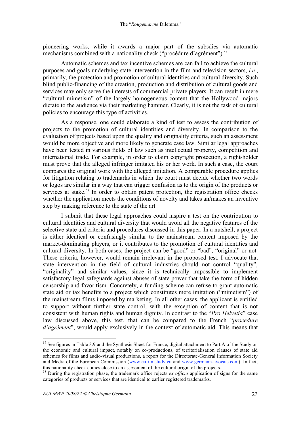pioneering works, while it awards a major part of the subsdies via automatic mechanisms combined with a nationality check ("procédure d'agrément").<sup>57</sup>

Automatic schemes and tax incentive schemes are can fail to achieve the cultural purposes and goals underlying state intervention in the film and television sectors, *i.e.*, primarily, the protection and promotion of cultural identities and cultural diversity. Such blind public-financing of the creation, production and distribution of cultural goods and services may only serve the interests of commercial private players. It can result in mere "cultural mimetism" of the largely homogeneous content that the Hollywood majors dictate to the audience via their marketing hammer. Clearly, it is not the task of cultural policies to encourage this type of activities.

As a response, one could elaborate a kind of test to assess the contribution of projects to the promotion of cultural identities and diversity. In comparison to the evaluation of projects based upon the quality and originality criteria, such an assessment would be more objective and more likely to generate case law. Similar legal approaches have been tested in various fields of law such as intellectual property, competition and international trade. For example, in order to claim copyright protection, a right-holder must prove that the alleged infringer imitated his or her work. In such a case, the court compares the original work with the alleged imitation. A comparable procedure applies for litigation relating to trademarks in which the court must decide whether two words or logos are similar in a way that can trigger confusion as to the origin of the products or services at stake.<sup>58</sup> In order to obtain patent protection, the registration office checks whether the application meets the conditions of novelty and takes an/makes an inventive step by making reference to the state of the art.

I submit that these legal approaches could inspire a test on the contribution to cultural identities and cultural diversity that would avoid all the negative features of the selective state aid criteria and procedures discussed in this paper. In a nutshell, a project is either identical or confusingly similar to the mainstream content imposed by the market-dominating players, or it contributes to the promotion of cultural identities and cultural diversity. In both cases, the project can be "good" or "bad", "original" or not. These criteria, however, would remain irrelevant in the proposed test. I advocate that state intervention in the field of cultural industries should not control "quality", "originality" and similar values, since it is technically impossible to implement satisfactory legal safeguards against abuses of state power that take the form of hidden censorship and favoritism. Concretely, a funding scheme can refuse to grant automatic state aid or tax benefits to a project which constitutes mere imitation ("mimetism") of the mainstream films imposed by marketing. In all other cases, the applicant is entitled to support without further state control, with the exception of content that is not consistent with human rights and human dignity. In contrast to the "*Pro Helvetia*" case law discussed above, this test, that can be compared to the French "*procedure d'agrément*", would apply exclusively in the context of automatic aid. This means that

<sup>&</sup>lt;sup>57</sup> See figures in Table 3.9 and the Synthesis Sheet for France, digital attachment to Part A of the Study on the economic and cultural impact, notably on co-productions, of territorialisation clauses of state aid schemes for films and audio-visual productions, a report for the Directorate-General Information Society and Media of the European Commission (www.eufilmstudy.eu and www.germann-avocats.com). In fact, this nationality check comes close to an assessment of the cultural origin of the projects. 58 During the registration phase, the trademark office rejects *ex officio* application of signs for the same

categories of products or services that are identical to earlier registered trademarks.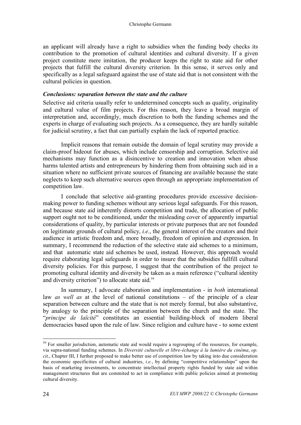an applicant will already have a right to subsidies when the funding body checks its contribution to the promotion of cultural identities and cultural diversity. If a given project constitute mere imitation, the producer keeps the right to state aid for other projects that fulfill the cultural diversity criterion. In this sense, it serves only and specifically as a legal safeguard against the use of state aid that is not consistent with the cultural policies in question.

#### *Conclusions: separation between the state and the culture*

Selective aid criteria usually refer to undetermined concepts such as quality, originality and cultural value of film projects. For this reason, they leave a broad margin of interpretation and, accordingly, much discretion to both the funding schemes and the experts in charge of evaluating such projects. As a consequence, they are hardly suitable for judicial scrutiny, a fact that can partially explain the lack of reported practice.

Implicit reasons that remain outside the domain of legal scrutiny may provide a claim-proof hideout for abuses, which include censorship and corruption. Selective aid mechanisms may function as a disincentive to creation and innovation when abuse harms talented artists and entrepreneurs by hindering them from obtaining such aid in a situation where no sufficient private sources of financing are available because the state neglects to keep such alternative sources open through an appropriate implementation of competition law.

I conclude that selective aid-granting procedures provide excessive decisionmaking power to funding schemes without any serious legal safeguards. For this reason, and because state aid inherently distorts competition and trade, the allocation of public support ought not to be conditioned, under the misleading cover of apparently impartial considerations of quality, by particular interests or private purposes that are not founded on legitimate grounds of cultural policy, *i.e.*, the general interest of the creators and their audience in artistic freedom and, more broadly, freedom of opinion and expression. In summary, I recommend the reduction of the selective state aid schemes to a minimum, and that automatic state aid schemes be used, instead. However, this approach would require elaborating legal safeguards in order to insure that the subsidies fullfill cultural diversity policies. For this purpose, I suggest that the contribution of the project to promoting cultural identity and diversity be taken as a main reference ("cultural identity and diversity criterion") to allocate state aid.<sup>59</sup>

In summary, I advocate elaboration and implementation - in *both* international law *as well as* at the level of national constitutions – of the principle of a clear separation between culture and the state that is not merely formal, but also substantive, by analogy to the principle of the separation between the church and the state. The "*principe de laïcité*" constitutes an essential building-block of modern liberal democracies based upon the rule of law. Since religion and culture have - to some extent

<sup>&</sup>lt;sup>59</sup> For smaller jurisdiction, automatic state aid would require a regrouping of the resources, for example, via supra-national funding schemes. In *Diversité culturelle et libre-échange à la lumière du cinéma*, *op. cit*., Chapter III, I further proposed to make better use of competition law by taking into due consideration the economic specificities of cultural industries, *i.e.*, by defining "competitive relationships" upon the basis of marketing investments, to concentrate intellectual property rights funded by state aid within management structures that are commited to act in compliance with public policies aimed at promoting cultural diversity.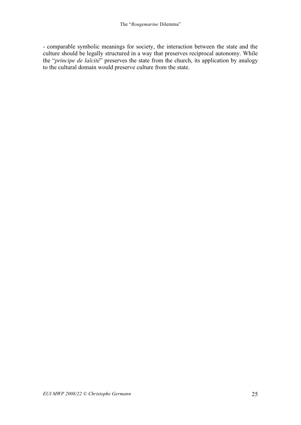- comparable symbolic meanings for society, the interaction between the state and the culture should be legally structured in a way that preserves reciprocal autonomy. While the "*principe de laïcité*" preserves the state from the church, its application by analogy to the cultural domain would preserve culture from the state.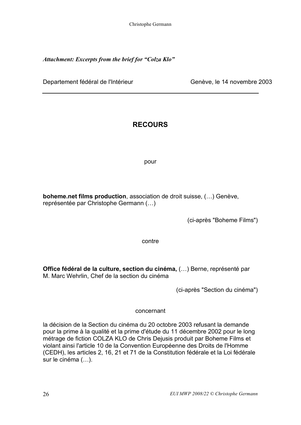Christophe Germann

*Attachment: Excerpts from the brief for "Colza Klo"*

Departement fédéral de l'Intérieur Channel de Genève, le 14 novembre 2003

## **RECOURS**

pour

**boheme.net films production**, association de droit suisse, (…) Genève, représentée par Christophe Germann (…)

(ci-après "Boheme Films")

contre

**Office fédéral de la culture, section du cinéma,** (…) Berne, représenté par M. Marc Wehrlin, Chef de la section du cinéma

(ci-après "Section du cinéma")

concernant

la décision de la Section du cinéma du 20 octobre 2003 refusant la demande pour la prime à la qualité et la prime d'étude du 11 décembre 2002 pour le long métrage de fiction COLZA KLO de Chris Dejusis produit par Boheme Films et violant ainsi l'article 10 de la Convention Européenne des Droits de l'Homme (CEDH), les articles 2, 16, 21 et 71 de la Constitution fédérale et la Loi fédérale sur le cinéma (…).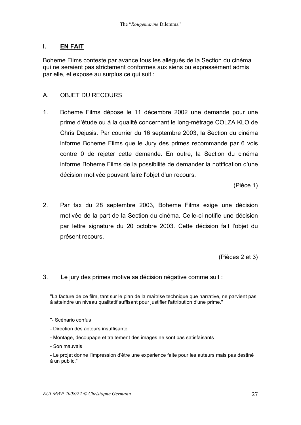### **I. EN FAIT**

Boheme Films conteste par avance tous les allégués de la Section du cinéma qui ne seraient pas strictement conformes aux siens ou expressément admis par elle, et expose au surplus ce qui suit :

### A. OBJET DU RECOURS

1. Boheme Films dépose le 11 décembre 2002 une demande pour une prime d'étude ou à la qualité concernant le long-métrage COLZA KLO de Chris Dejusis. Par courrier du 16 septembre 2003, la Section du cinéma informe Boheme Films que le Jury des primes recommande par 6 vois contre 0 de rejeter cette demande. En outre, la Section du cinéma informe Boheme Films de la possibilité de demander la notification d'une décision motivée pouvant faire l'objet d'un recours.

(Pièce 1)

2. Par fax du 28 septembre 2003, Boheme Films exige une décision motivée de la part de la Section du cinéma. Celle-ci notifie une décision par lettre signature du 20 octobre 2003. Cette décision fait l'objet du présent recours.

(Pièces 2 et 3)

3. Le jury des primes motive sa décision négative comme suit :

"La facture de ce film, tant sur le plan de la maîtrise technique que narrative, ne parvient pas à atteindre un niveau qualitatif suffisant pour justifier l'attribution d'une prime."

- Direction des acteurs insuffisante
- Montage, découpage et traitement des images ne sont pas satisfaisants
- Son mauvais
- Le projet donne l'impression d'être une expérience faite pour les auteurs mais pas destiné à un public."

<sup>&</sup>quot;- Scénario confus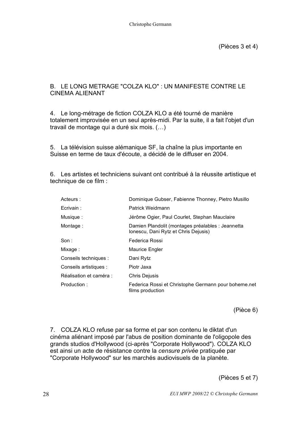### B. LE LONG METRAGE "COLZA KLO" : UN MANIFESTE CONTRE LE CINEMA ALIENANT

4. Le long-métrage de fiction COLZA KLO a été tourné de manière totalement improvisée en un seul après-midi. Par la suite, il a fait l'objet d'un travail de montage qui a duré six mois. (…)

5. La télévision suisse alémanique SF, la chaîne la plus importante en Suisse en terme de taux d'écoute, a décidé de le diffuser en 2004.

6. Les artistes et techniciens suivant ont contribué à la réussite artistique et technique de ce film :

| Acteurs :               | Dominique Gubser, Fabienne Thonney, Pietro Musillo                                        |
|-------------------------|-------------------------------------------------------------------------------------------|
| Ecrivain:               | Patrick Weidmann                                                                          |
| Musique:                | Jérôme Ogier, Paul Courlet, Stephan Mauclaire                                             |
| Montage:                | Damien Plandolit (montages préalables : Jeannetta<br>Ionescu, Dani Rytz et Chris Dejusis) |
| Son:                    | Federica Rossi                                                                            |
| Mixage:                 | Maurice Engler                                                                            |
| Conseils techniques :   | Dani Rytz                                                                                 |
| Conseils artistiques :  | Piotr Jaxa                                                                                |
| Réalisation et caméra : | <b>Chris Dejusis</b>                                                                      |
| Production:             | Federica Rossi et Christophe Germann pour boheme.net<br>films production                  |

(Pièce 6)

7. COLZA KLO refuse par sa forme et par son contenu le diktat d'un cinéma aliénant imposé par l'abus de position dominante de l'oligopole des grands studios d'Hollywood (ci-après "Corporate Hollywood"). COLZA KLO est ainsi un acte de résistance contre la *censure privée* pratiquée par "Corporate Hollywood" sur les marchés audiovisuels de la planète.

(Pièces 5 et 7)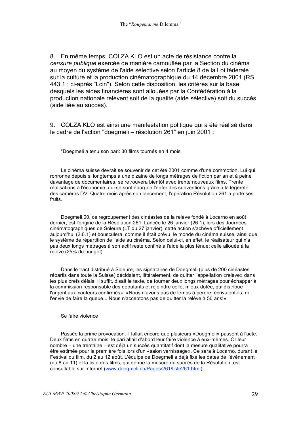8. En même temps, COLZA KLO est un acte de résistance contre la *censure publique* exercée de manière camouflée par la Section du cinéma au moyen du système de l'aide sélective selon l'article 8 de la Loi fédérale sur la culture et la production cinématographique du 14 décembre 2001 (RS 443.1 ; ci-après "Lcin"). Selon cette disposition, les critères sur la base desquels les aides financières sont allouées par la Confédération à la production nationale relèvent soit de la qualité (aide sélective) soit du succès (aide liée au succès).

9. COLZA KLO est ainsi une manifestation politique qui a été réalisé dans le cadre de l'action "doegmeli – résolution 261" en juin 2001 :

"Doegmeli a tenu son pari: 30 films tournés en 4 mois

Le cinéma suisse devrait se souvenir de cet été 2001 comme d'une commotion. Lui qui ronronne depuis si longtemps à une dizaine de longs métrages de fiction par an et à peine davantage de documentaires, se retrouvera bientôt avec trente nouveaux films. Trente réalisations à l'économie, qui se sont épargné l'enfer des subventions grâce à la légèreté des caméras DV. Quatre mois après son lancement, l'opération Résolution 261 a porté ses fruits.

Doegmeli.00, ce regroupement des cinéastes de la relève fondé à Locarno en août dernier, est l'origine de la Résolution 261. Lancée le 26 janvier (26.1), lors des Journées cinématographiques de Soleure (LT du 27 janvier), cette action s'achève officiellement aujourd'hui (2.6.1) et bousculera, comme il était prévu, le monde du cinéma suisse, ainsi que le système de répartition de l'aide au cinéma. Selon celui-ci, en effet, le réalisateur qui n'a pas deux longs métrages à son actif reste confiné à l'aide la plus ténue: celle allouée à la relève (25% du budget).

Dans le tract distribué à Soleure, les signataires de Doegmeli (plus de 200 cinéastes répartis dans toute la Suisse) décidaient, littéralement, de quitter l'appellation «relève» dans les plus brefs délais. Il suffit, disait le texte, de tourner deux longs métrages pour échapper à la commission responsable des débutants et rejoindre celle, mieux dotée, qui distribue l'argent aux «auteurs confirmés». «Nous n'avons pas de temps à perdre, écrivaient-ils, ni l'envie de faire la queue... Nous n'acceptons pas de quitter la relève à 50 ans!»

#### Se faire violence

Passée la prime provocation, il fallait encore que plusieurs «Doegmeli» passent à l'acte. Deux films en quatre mois: le pari allait d'abord leur faire violence à eux-mêmes. Or leur nombre – une trentaine – est déjà un succès quantitatif dont la mesure qualitative pourra être estimée pour la première fois lors d'un «salon vernissage». Ce sera à Locarno, durant le Festival du film, du 2 au 12 août. L'équipe de Doegmeli a déjà fixé les dates de l'événement (du 8 au 11) et la liste des films, qui donne la mesure du succès de la Résolution, est consultable sur Internet (www.doegmeli.ch/Pages/261/liste261.html).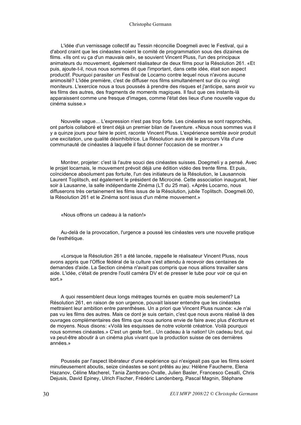#### Christophe Germann

L'idée d'un vernissage collectif au Tessin réconcilie Doegmeli avec le Festival, qui a d'abord craint que les cinéastes noient le comité de programmation sous des dizaines de films. «Ils ont vu ça d'un mauvais œil», se souvient Vincent Pluss, l'un des principaux animateurs du mouvement, également réalisateur de deux films pour la Résolution 261. «Et puis, ajoute-t-il, nous nous sommes dit que l'important, dans cette idée, était son aspect productif. Pourquoi parasiter un Festival de Locarno contre lequel nous n'avons aucune animosité? L'idée première, c'est de diffuser nos films simultanément sur dix ou vingt moniteurs. L'exercice nous a tous poussés à prendre des risques et j'anticipe, sans avoir vu les films des autres, des fragments de moments magiques. Il faut que ces instants-là apparaissent comme une fresque d'images, comme l'état des lieux d'une nouvelle vague du cinéma suisse.»

Nouvelle vague... L'expression n'est pas trop forte. Les cinéastes se sont rapprochés, ont parfois collaboré et tirent déjà un premier bilan de l'aventure. «Nous nous sommes vus il y a quinze jours pour faire le point, raconte Vincent Pluss. L'expérience semble avoir produit une excitation, une qualité désinhibitrice. La Résolution aura été le parcours Vita d'une communauté de cinéastes à laquelle il faut donner l'occasion de se montrer.»

Montrer, projeter: c'est là l'autre souci des cinéastes suisses. Doegmeli y a pensé. Avec le projet locarnais, le mouvement prévoit déjà une édition vidéo des trente films. Et puis, coïncidence absolument pas fortuite, l'un des initiateurs de la Résolution, le Lausannois Laurent Toplitsch, est également le président de Microciné. Cette association inaugurait, hier soir à Lausanne, la salle indépendante Zinéma (LT du 25 mai). «Après Locarno, nous diffuserons très certainement les films issus de la Résolution, jubile Toplitsch. Doegmeli.00, la Résolution 261 et le Zinéma sont issus d'un même mouvement.»

«Nous offrons un cadeau à la nation!»

Au-delà de la provocation, l'urgence a poussé les cinéastes vers une nouvelle pratique de l'esthétique.

«Lorsque la Résolution 261 a été lancée, rappelle le réalisateur Vincent Pluss, nous avons appris que l'Office fédéral de la culture s'est attendu à recevoir des centaines de demandes d'aide. La Section cinéma n'avait pas compris que nous allions travailler sans aide. L'idée, c'était de prendre l'outil caméra DV et de presser le tube pour voir ce qui en sort.»

A quoi ressemblent deux longs métrages tournés en quatre mois seulement? La Résolution 261, en raison de son urgence, pouvait laisser entendre que les cinéastes mettraient leur ambition entre parenthèses. Un a priori que Vincent Pluss nuance: «Je n'ai pas vu les films des autres. Mais ce dont je suis certain, c'est que nous avons réalisé là des ouvrages complémentaires des films que nous aurions envie de faire avec plus d'écriture et de moyens. Nous disons: «Voilà les esquisses de notre volonté créatrice. Voilà pourquoi nous sommes cinéastes.» C'est un geste fort... Un cadeau à la nation! Un cadeau brut, qui va peut-être aboutir à un cinéma plus vivant que la production suisse de ces dernières années.»

Poussés par l'aspect libérateur d'une expérience qui n'exigeait pas que les films soient minutieusement aboutis, seize cinéastes se sont prêtés au jeu: Hélène Faucherre, Elena Hazanov, Céline Macherel, Tania Zambrano-Ovalle, Julien Basler, Francesco Cesalli, Chris Dejusis, David Epiney, Ulrich Fischer, Frédéric Landenberg, Pascal Magnin, Stéphane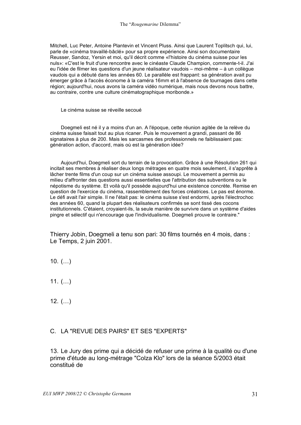Mitchell, Luc Peter, Antoine Plantevin et Vincent Pluss. Ainsi que Laurent Toplitsch qui, lui, parle de «cinéma travaillé-bâclé» pour sa propre expérience. Ainsi son documentaire Reusser, Sandoz, Yersin et moi, qu'il décrit comme «l'histoire du cinéma suisse pour les nuls»: «C'est le fruit d'une rencontre avec le cinéaste Claude Champion, commente-t-il. J'ai eu l'idée de filmer les questions d'un jeune réalisateur vaudois – moi-même – à un collègue vaudois qui a débuté dans les années 60. Le parallèle est frappant: sa génération avait pu émerger grâce à l'accès économe à la caméra 16mm et à l'absence de tournages dans cette région; aujourd'hui, nous avons la caméra vidéo numérique, mais nous devons nous battre, au contraire, contre une culture cinématographique moribonde.»

Le cinéma suisse se réveille secoué

Doegmeli est né il y a moins d'un an. A l'époque, cette réunion agitée de la relève du cinéma suisse faisait tout au plus ricaner. Puis le mouvement a grandi, passant de 86 signataires à plus de 200. Mais les sarcasmes des professionnels ne faiblissaient pas: génération action, d'accord, mais où est la génération idée?

Aujourd'hui, Doegmeli sort du terrain de la provocation. Grâce à une Résolution 261 qui incitait ses membres à réaliser deux longs métrages en quatre mois seulement, il s'apprête à lâcher trente films d'un coup sur un cinéma suisse assoupi. Le mouvement a permis au milieu d'affronter des questions aussi essentielles que l'attribution des subventions ou le népotisme du système. Et voilà qu'il possède aujourd'hui une existence concrète. Remise en question de l'exercice du cinéma, rassemblement des forces créatrices. Le pas est énorme. Le défi avait l'air simple. Il ne l'était pas: le cinéma suisse s'est endormi, après l'électrochoc des années 60, quand la plupart des réalisateurs confirmés se sont tissé des cocons institutionnels. C'étaient, croyaient-ils, la seule manière de survivre dans un système d'aides pingre et sélectif qui n'encourage que l'individualisme. Doegmeli prouve le contraire."

Thierry Jobin, Doegmeli a tenu son pari: 30 films tournés en 4 mois, dans : Le Temps, 2 juin 2001.

10. (…)

11.  $(...)$ 

12.  $(...)$ 

### C. LA "REVUE DES PAIRS" ET SES "EXPERTS"

13. Le Jury des prime qui a décidé de refuser une prime à la qualité ou d'une prime d'étude au long-métrage "Colza Klo" lors de la séance 5/2003 était constitué de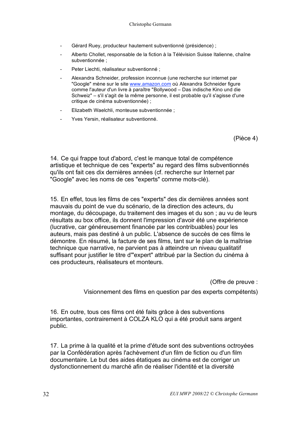- Gérard Ruey, producteur hautement subventionné (présidence) ;
- Alberto Chollet, responsable de la fiction à la Télévision Suisse Italienne, chaîne subventionnée ;
- Peter Liechti, réalisateur subventionné ;
- Alexandra Schneider, profession inconnue (une recherche sur internet par "Google" mène sur le site www.amazon.com où Alexandra Schneider figure comme l'auteur d'un livre à paraître "Bollywood – Das indische Kino und die Schweiz" – s'il s'agit de la même personne, il est probable qu'il s'agisse d'une critique de cinéma subventionnée) ;
- Elizabeth Waelchli, monteuse subventionnée ;
- Yves Yersin, réalisateur subventionné.

(Pièce 4)

14. Ce qui frappe tout d'abord, c'est le manque total de compétence artistique et technique de ces "experts" au regard des films subventionnés qu'ils ont fait ces dix dernières années (cf. recherche sur Internet par "Google" avec les noms de ces "experts" comme mots-clé).

15. En effet, tous les films de ces "experts" des dix dernières années sont mauvais du point de vue du scénario, de la direction des acteurs, du montage, du découpage, du traitement des images et du son ; au vu de leurs résultats au box office, ils donnent l'impression d'avoir été une expérience (lucrative, car généreusement financée par les contribuables) pour les auteurs, mais pas destiné à un public. L'absence de succès de ces films le démontre. En résumé, la facture de ses films, tant sur le plan de la maîtrise technique que narrative, ne parvient pas à atteindre un niveau qualitatif suffisant pour justifier le titre d'"expert" attribué par la Section du cinéma à ces producteurs, réalisateurs et monteurs.

(Offre de preuve :

Visionnement des films en question par des experts compétents)

16. En outre, tous ces films ont été faits grâce à des subventions importantes, contrairement à COLZA KLO qui a été produit sans argent public.

17. La prime à la qualité et la prime d'étude sont des subventions octroyées par la Confédération après l'achèvement d'un film de fiction ou d'un film documentaire. Le but des aides étatiques au cinéma est de corriger un dysfonctionnement du marché afin de réaliser l'identité et la diversité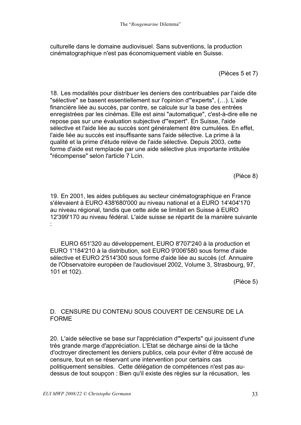culturelle dans le domaine audiovisuel. Sans subventions, la production cinématographique n'est pas économiquement viable en Suisse.

(Pièces 5 et 7)

18. Les modalités pour distribuer les deniers des contribuables par l'aide dite "sélective" se basent essentiellement sur l'opinion d'"experts", (…). L'aide financière liée au succès, par contre, se calcule sur la base des entrées enregistrées par les cinémas. Elle est ainsi "automatique", c'est-à-dire elle ne repose pas sur une évaluation subjective d'"expert". En Suisse, l'aide sélective et l'aide liée au succès sont généralement être cumulées. En effet, l'aide liée au succès est insuffisante sans l'aide sélective. La prime à la qualité et la prime d'étude relève de l'aide sélective. Depuis 2003, cette forme d'aide est remplacée par une aide sélective plus importante intitulée "récompense" selon l'article 7 Lcin.

(Pièce 8)

19. En 2001, les aides publiques au secteur cinématographique en France s'élevaient à EURO 438'680'000 au niveau national et à EURO 14'404'170 au niveau régional, tandis que cette aide se limitait en Suisse à EURO 12'399'170 au niveau fédéral. L'aide suisse se répartit de la manière suivante :

EURO 651'320 au développement, EURO 8'707'240 à la production et EURO 1'184'210 à la distribution, soit EURO 9'006'580 sous forme d'aide sélective et EURO 2'514'300 sous forme d'aide liée au succès (cf. Annuaire de l'Observatoire européen de l'audiovisuel 2002, Volume 3, Strasbourg, 97, 101 et 102).

(Pièce 5)

### D. CENSURE DU CONTENU SOUS COUVERT DE CENSURE DE LA FORME

20. L'aide sélective se base sur l'appréciation d'"experts" qui jouissent d'une très grande marge d'appréciation. L'Etat se décharge ainsi de la tâche d'octroyer directement les deniers publics, cela pour éviter d'être accusé de censure, tout en se réservant une intervention pour certains cas politiquement sensibles. Cette délégation de compétences n'est pas audessus de tout soupçon : Bien qu'il existe des règles sur la récusation, les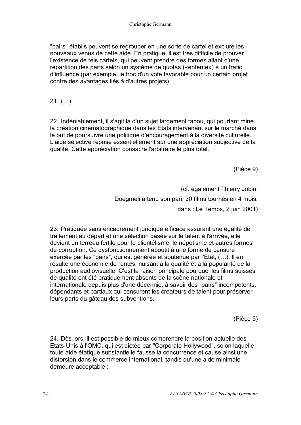"pairs" établis peuvent se regrouper en une sorte de cartel et exclure les nouveaux venus de cette aide. En pratique, il est très difficile de prouver l'existence de tels cartels, qui peuvent prendre des formes allant d'une répartition des parts selon un système de quotas («entente») à un trafic d'influence (par exemple, le troc d'un vote favorable pour un certain projet contre des avantages liés à d'autres projets).

21. (…)

22. Indéniablement, il s'agit là d'un sujet largement tabou, qui pourtant mine la création cinématographique dans les Etats intervenant sur le marché dans le but de poursuivre une politique d'encouragement à la diversité culturelle. L'aide sélective repose essentiellement sur une appréciation subjective de la qualité. Cette appréciation consacre l'arbitraire le plus total.

(Pièce 9)

(cf. également Thierry Jobin, Doegmeli a tenu son pari: 30 films tournés en 4 mois, dans : Le Temps, 2 juin 2001)

23. Pratiquée sans encadrement juridique efficace assurant une égalité de traitement au départ et une sélection basée sur le talent à l'arrivée, elle devient un terreau fertile pour le clientélisme, le népotisme et autres formes de corruption. Ce dysfonctionnement aboutit à une forme de censure exercée par les "pairs", qui est générée et soutenue par l'Etat, (…). Il en résulte une économie de rentes, nuisant à la qualité et à la popularité de la production audiovisuelle. C'est la raison principale pourquoi les films suisses de qualité ont été pratiquement absents de la scène nationale et internationale depuis plus d'une décennie, à savoir des "pairs" incompétents, dépendants et partiaux qui censurent les créateurs de talent pour préserver leurs parts du gâteau des subventions.

(Pièce 5)

24. Dès lors, il est possible de mieux comprendre la position actuelle des Etats-Unis à l'OMC, qui est dictée par "Corporate Hollywood", selon laquelle toute aide étatique substantielle fausse la concurrence et cause ainsi une distorsion dans le commerce international, tandis qu'une aide minimale demeure acceptable :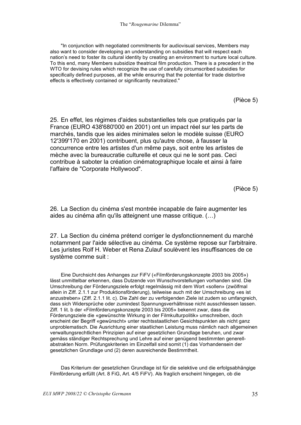"In conjunction with negotiated commitments for audiovisual services, Members may also want to consider developing an understanding on subsidies that will respect each nation's need to foster its cultural identity by creating an environment to nurture local culture. To this end, many Members subsidize theatrical film production. There is a precedent in the WTO for devising rules which recognize the use of carefully circumscribed subsidies for specifically defined purposes, all the while ensuring that the potential for trade distortive effects is effectively contained or significantly neutralized."

(Pièce 5)

25. En effet, les régimes d'aides substantielles tels que pratiqués par la France (EURO 438'680'000 en 2001) ont un impact réel sur les parts de marchés, tandis que les aides minimales selon le modèle suisse (EURO 12'399'170 en 2001) contribuent, plus qu'autre chose, à fausser la concurrence entre les artistes d'un même pays, soit entre les artistes de mèche avec la bureaucratie culturelle et ceux qui ne le sont pas. Ceci contribue à saboter la création cinématographique locale et ainsi à faire l'affaire de "Corporate Hollywood".

(Pièce 5)

26. La Section du cinéma s'est montrée incapable de faire augmenter les aides au cinéma afin qu'ils atteignent une masse critique. (…)

27. La Section du cinéma prétend corriger le dysfonctionnement du marché notamment par l'aide sélective au cinéma. Ce système repose sur l'arbitraire. Les juristes Rolf H. Weber et Rena Zulauf soulèvent les insuffisances de ce système comme suit :

Eine Durchsicht des Anhanges zur FiFV («Filmförderungskonzepte 2003 bis 2005») lässt unmittelbar erkennen, dass Dutzende von Wunschvorstellungen vorhanden sind. Die Umschreibung der Förderungsziele erfolgt regelmässig mit dem Wort «sollen» (zwölfmal allein in Ziff. 2.1.1 zur Produktionsförderung), teilweise auch mit der Umschreibung «es ist anzustreben» (Ziff. 2.1.1 lit. c). Die Zahl der zu verfolgenden Ziele ist zudem so umfangreich, dass sich Widersprüche oder zumindest Spannungsverhältnisse nicht ausschliessen lassen. Ziff. 1 lit. b der «Filmförderungskonzepte 2003 bis 2005» bekennt zwar, dass die Förderungsziele die «gewünschte Wirkung in der Filmkulturpolitik» umschreiben, doch erscheint der Begriff «gewünscht» unter rechtsstaatlichen Gesichtspunkten als nicht ganz unproblematisch. Die Ausrichtung einer staatlichen Leistung muss nämlich nach allgemeinen verwaltungsrechtlichen Prinzipien auf einer gesetzlichen Grundlage beruhen, und zwar gemäss ständiger Rechtsprechung und Lehre auf einer genügend bestimmten generellabstrakten Norm. Prüfungskriterien im Einzelfall sind somit (1) das Vorhandensein der gesetzlichen Grundlage und (2) deren ausreichende Bestimmtheit.

Das Kriterium der gesetzlichen Grundlage ist für die selektive und die erfolgsabhängige Filmförderung erfüllt (Art. 8 FiG, Art. 4/5 FiFV). Als fraglich erscheint hingegen, ob die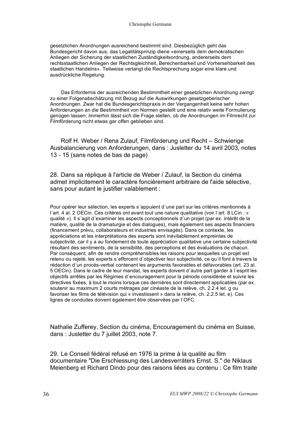gesetzlichen Anordnungen ausreichend bestimmt sind. Diesbezüglich geht das Bundesgericht davon aus, das Legalitätsprinzip diene «einerseits dem demokratischen Anliegen der Sicherung der staatlichen Zuständigkeitsordnung, andererseits dem rechtsstaatlichen Anliegen der Rechtsgleichheit, Berechenbarkeit und Vorhersehbarkeit des staatlichen Handelns». Teilweise verlangt die Rechtsprechung sogar eine klare und ausdrückliche Regelung.

Das Erfordernis der ausreichenden Bestimmtheit einer gesetzlichen Anordnung zwingt zu einer Folgenabschätzung mit Bezug auf die Auswirkungen gesetzgeberischer Anordnungen. Zwar hat die Bundesgerichtspraxis in der Vergangenheit keine sehr hohen Anforderungen an die Bestimmtheit von Normen gestellt und eine relativ weite Formulierung genügen lassen; immerhin lässt sich die Frage stellen, ob die Anordnungen im Filmrecht zur Filmförderung nicht etwas gar offen geblieben sind.

Rolf H. Weber / Rena Zulauf, Filmförderung und Recht – Schwierige Ausbalancierung von Anforderungen, dans : Jusletter du 14 avril 2003, notes 13 - 15 (sans notes de bas de page)

28. Dans sa réplique à l'article de Weber / Zulauf, la Section du cinéma admet implicitement le caractère foncièrement arbitraire de l'aide sélective, sans pour autant le justifier valablement :

Pour opérer leur sélection, les experts s´appuient d´une part sur les critères mentionnés à l´art. 4 al. 2 OECin. Ces critères ont avant tout une nature qualitative (voir l´art. 8 LCin : « qualité »). Il s´agit d´examiner les aspects conceptionnels d´un projet (par ex. intérêt de la matière, qualité de la dramaturgie et des dialogues), mais également ses aspects financiers (financement prévu, collaborateurs et industries envisagés). Dans ce contexte, les appréciations et les interprétations des experts sont inévitablement empreintes de subjectivité, car il y a au fondement de toute appréciation qualitative une certaine subjectivité résultant des sentiments, de la sensibilité, des perceptions et des évaluations de chacun. Par conséquent, afin de rendre compréhensibles les raisons pour lesquelles un projet est retenu ou rejeté, les experts s´efforcent d´objectiver leur subjectivité, ce qu´il font à travers la rédaction d´un procès-verbal contenant les arguments favorables et défavorables (art. 23 al. 5 OECin). Dans le cadre de leur mandat, les experts doivent d´autre part garder à l´esprit les objectifs arrêtés par les Régimes d´encouragement pour la période considérée et suivre les directives fixées, à tout le moins lorsque ces dernières sont directement applicables (par ex. soutenir au maximum 2 courts métrages par cinéaste de la relève, ch. 2.2.4 let. g ou favoriser les films de télévision qui « investissent » dans la relève, ch. 2.2.5 let. e). Ces lignes de conduites doivent également être observées par l´OFC.

Nathalie Zufferey, Section du cinéma, Encouragement du cinéma en Suisse, dans : Jusletter du 7 juillet 2003, note 7.

29. Le Conseil fédéral refusé en 1976 la prime à la qualité au film documentaire "Die Erschiessung des Landesverräters Ernst. S." de Niklaus Meienberg et Richard Dindo pour des raisons liées au contenu : Ce film traite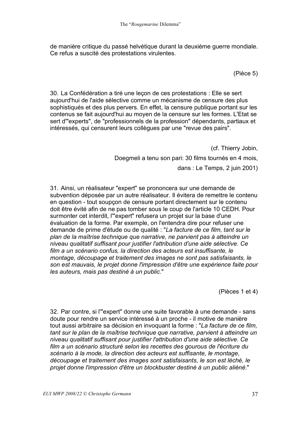de manière critique du passé helvétique durant la deuxième guerre mondiale. Ce refus a suscité des protestations virulentes.

(Pièce 5)

30. La Confédération a tiré une leçon de ces protestations : Elle se sert aujourd'hui de l'aide sélective comme un mécanisme de censure des plus sophistiqués et des plus pervers. En effet, la censure publique portant sur les contenus se fait aujourd'hui au moyen de la censure sur les formes. L'Etat se sert d'"experts", de "professionnels de la profession" dépendants, partiaux et intéressés, qui censurent leurs collègues par une "revue des pairs".

(cf. Thierry Jobin,

Doegmeli a tenu son pari: 30 films tournés en 4 mois,

dans : Le Temps, 2 juin 2001)

31. Ainsi, un réalisateur "expert" se prononcera sur une demande de subvention déposée par un autre réalisateur. Il évitera de remettre le contenu en question - tout soupçon de censure portant directement sur le contenu doit être évité afin de ne pas tomber sous le coup de l'article 10 CEDH. Pour surmonter cet interdit, l'"expert" refusera un projet sur la base d'une évaluation de la forme. Par exemple, on l'entendra dire pour refuser une demande de prime d'étude ou de qualité : "*La facture de ce film, tant sur le plan de la maîtrise technique que narrative, ne parvient pas à atteindre un niveau qualitatif suffisant pour justifier l'attribution d'une aide sélective. Ce film a un scénario confus, la direction des acteurs est insuffisante, le montage, découpage et traitement des images ne sont pas satisfaisants, le son est mauvais, le projet donne l'impression d'être une expérience faite pour les auteurs, mais pas destiné à un public.*"

(Pièces 1 et 4)

32. Par contre, si l'"expert" donne une suite favorable à une demande - sans doute pour rendre un service intéressé à un proche - il motive de manière tout aussi arbitraire sa décision en invoquant la forme : "*La facture de ce film, tant sur le plan de la maîtrise technique que narrative, parvient à atteindre un niveau qualitatif suffisant pour justifier l'attribution d'une aide sélective. Ce film a un scénario structuré selon les recettes des gourous de l'écriture du scénario à la mode, la direction des acteurs est suffisante, le montage, découpage et traitement des images sont satisfaisants, le son est léché, le projet donne l'impression d'être un blockbuster destiné à un public aliéné.*"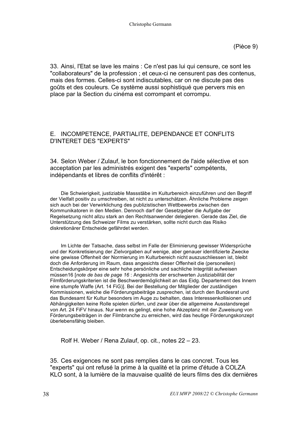(Pièce 9)

33. Ainsi, l'Etat se lave les mains : Ce n'est pas lui qui censure, ce sont les "collaborateurs" de la profession ; et ceux-ci ne censurent pas des contenus, mais des formes. Celles-ci sont indiscutables, car on ne discute pas des goûts et des couleurs. Ce système aussi sophistiqué que pervers mis en place par la Section du cinéma est corrompant et corrompu.

### E. INCOMPETENCE, PARTIALITE, DEPENDANCE ET CONFLITS D'INTERET DES "EXPERTS"

34. Selon Weber / Zulauf, le bon fonctionnement de l'aide sélective et son acceptation par les administrés exigent des "experts" compétents, indépendants et libres de conflits d'intérêt :

Die Schwierigkeit, justiziable Massstäbe im Kulturbereich einzuführen und den Begriff der Vielfalt positiv zu umschreiben, ist nicht zu unterschätzen. Ähnliche Probleme zeigen sich auch bei der Verwirklichung des publizistischen Wettbewerbs zwischen den Kommunikatoren in den Medien. Dennoch darf der Gesetzgeber die Aufgabe der Regelsetzung nicht allzu stark an den Rechtsanwender delegieren. Gerade das Ziel, die Unterstützung des Schweizer Films zu verstärken, sollte nicht durch das Risiko diskretionärer Entscheide gefährdet werden.

Im Lichte der Tatsache, dass selbst im Falle der Eliminierung gewisser Widersprüche und der Konkretisierung der Zielvorgaben auf wenige, aber genauer identifizierte Zwecke eine gewisse Offenheit der Normierung im Kulturbereich nicht auszuschliessen ist, bleibt doch die Anforderung im Raum, dass angesichts dieser Offenheit die (personellen) Entscheidungskörper eine sehr hohe persönliche und sachliche Integrität aufweisen müssen16 [*note de bas de page 16* : Angesichts der erschwerten Justiziabilität der Filmförderungskriterien ist die Beschwerdemöglichkeit an das Eidg. Departement des Innern eine stumpfe Waffe (Art. 14 FiG)]. Bei der Bestellung der Mitglieder der zuständigen Kommissionen, welche die Förderungsbeiträge zusprechen, ist durch den Bundesrat und das Bundesamt für Kultur besonders im Auge zu behalten, dass Interessenkollisionen und Abhängigkeiten keine Rolle spielen dürfen, und zwar über die allgemeine Ausstandsregel von Art. 24 FiFV hinaus. Nur wenn es gelingt, eine hohe Akzeptanz mit der Zuweisung von Förderungsbeiträgen in der Filmbranche zu erreichen, wird das heutige Förderungskonzept überlebensfähig bleiben.

Rolf H. Weber / Rena Zulauf, op. cit., notes 22 – 23.

35. Ces exigences ne sont pas remplies dans le cas concret. Tous les "experts" qui ont refusé la prime à la qualité et la prime d'étude à COLZA KLO sont, à la lumière de la mauvaise qualité de leurs films des dix dernières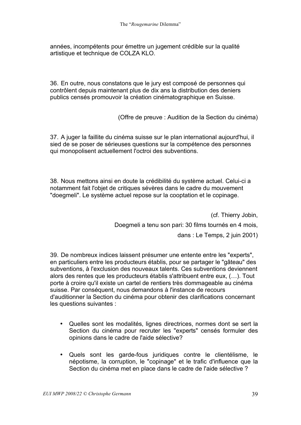années, incompétents pour émettre un jugement crédible sur la qualité artistique et technique de COLZA KLO.

36. En outre, nous constatons que le jury est composé de personnes qui contrôlent depuis maintenant plus de dix ans la distribution des deniers publics censés promouvoir la création cinématographique en Suisse.

(Offre de preuve : Audition de la Section du cinéma)

37. A juger la faillite du cinéma suisse sur le plan international aujourd'hui, il sied de se poser de sérieuses questions sur la compétence des personnes qui monopolisent actuellement l'octroi des subventions.

38. Nous mettons ainsi en doute la crédibilité du système actuel. Celui-ci a notamment fait l'objet de critiques sévères dans le cadre du mouvement "doegmeli". Le système actuel repose sur la cooptation et le copinage.

> (cf. Thierry Jobin, Doegmeli a tenu son pari: 30 films tournés en 4 mois, dans : Le Temps, 2 juin 2001)

39. De nombreux indices laissent présumer une entente entre les "experts", en particuliers entre les producteurs établis, pour se partager le "gâteau" des subventions, à l'exclusion des nouveaux talents. Ces subventions deviennent alors des rentes que les producteurs établis s'attribuent entre eux, (…). Tout porte à croire qu'il existe un cartel de rentiers très dommageable au cinéma suisse. Par conséquent, nous demandons à l'instance de recours d'auditionner la Section du cinéma pour obtenir des clarifications concernant les questions suivantes :

- Quelles sont les modalités, lignes directrices, normes dont se sert la Section du cinéma pour recruter les "experts" censés formuler des opinions dans le cadre de l'aide sélective?
- Quels sont les garde-fous juridiques contre le clientélisme, le népotisme, la corruption, le "copinage" et le trafic d'influence que la Section du cinéma met en place dans le cadre de l'aide sélective ?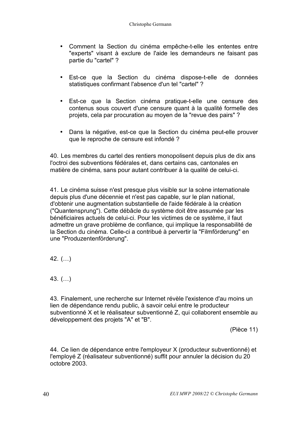- Comment la Section du cinéma empêche-t-elle les ententes entre "experts" visant à exclure de l'aide les demandeurs ne faisant pas partie du "cartel" ?
- Est-ce que la Section du cinéma dispose-t-elle de données statistiques confirmant l'absence d'un tel "cartel" ?
- Est-ce que la Section cinéma pratique-t-elle une censure des contenus sous couvert d'une censure quant à la qualité formelle des projets, cela par procuration au moyen de la "revue des pairs" ?
- Dans la négative, est-ce que la Section du cinéma peut-elle prouver que le reproche de censure est infondé ?

40. Les membres du cartel des rentiers monopolisent depuis plus de dix ans l'octroi des subventions fédérales et, dans certains cas, cantonales en matière de cinéma, sans pour autant contribuer à la qualité de celui-ci.

41. Le cinéma suisse n'est presque plus visible sur la scène internationale depuis plus d'une décennie et n'est pas capable, sur le plan national, d'obtenir une augmentation substantielle de l'aide fédérale à la création ("Quantensprung"). Cette débâcle du système doit être assumée par les bénéficiaires actuels de celui-ci. Pour les victimes de ce système, il faut admettre un grave problème de confiance, qui implique la responsabilité de la Section du cinéma. Celle-ci a contribué à pervertir la "Filmförderung" en une "Produzentenförderung".

- 42. (…)
- 43. (…)

43. Finalement, une recherche sur Internet révèle l'existence d'au moins un lien de dépendance rendu public, à savoir celui entre le producteur subventionné X et le réalisateur subventionné Z, qui collaborent ensemble au développement des projets "A" et "B".

(Pièce 11)

44. Ce lien de dépendance entre l'employeur X (producteur subventionné) et l'employé Z (réalisateur subventionné) suffit pour annuler la décision du 20 octobre 2003.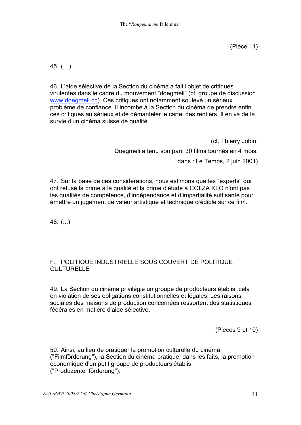45. (…)

46. L'aide sélective de la Section du cinéma a fait l'objet de critiques virulentes dans le cadre du mouvement "doegmeli" (cf. groupe de discussion www.doegmeli.ch). Ces critiques ont notamment soulevé un sérieux problème de confiance. Il incombe à la Section du cinéma de prendre enfin ces critiques au sérieux et de démanteler le cartel des rentiers. Il en va de la survie d'un cinéma suisse de qualité.

> (cf. Thierry Jobin, Doegmeli a tenu son pari: 30 films tournés en 4 mois, dans : Le Temps, 2 juin 2001)

47. Sur la base de ces considérations, nous estimons que les "experts" qui ont refusé la prime à la qualité et la prime d'étude à COLZA KLO n'ont pas les qualités de compétence, d'indépendance et d'impartialité suffisante pour émettre un jugement de valeur artistique et technique crédible sur ce film.

48. (...)

### F. POLITIQUE INDUSTRIELLE SOUS COUVERT DE POLITIQUE CULTURELLE

49. La Section du cinéma privilégie un groupe de producteurs établis, cela en violation de ses obligations constitutionnelles et légales. Les raisons sociales des maisons de production concernées ressortent des statistiques fédérales en matière d'aide sélective.

(Pièces 9 et 10)

50. Ainsi, au lieu de pratiquer la promotion culturelle du cinéma ("Filmförderung"), la Section du cinéma pratique, dans les faits, la promotion économique d'un petit groupe de producteurs établis ("Produzentenförderung").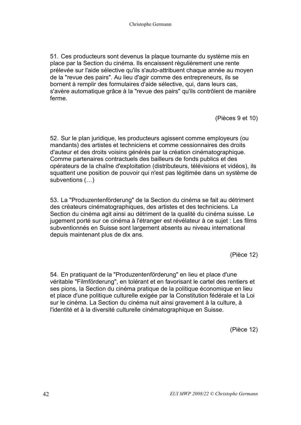51. Ces producteurs sont devenus la plaque tournante du système mis en place par la Section du cinéma. Ils encaissent régulièrement une rente prélevée sur l'aide sélective qu'ils s'auto-attribuent chaque année au moyen de la "revue des pairs". Au lieu d'agir comme des entrepreneurs, ils se bornent à remplir des formulaires d'aide sélective, qui, dans leurs cas, s'avère automatique grâce à la "revue des pairs" qu'ils contrôlent de manière ferme.

(Pièces 9 et 10)

52. Sur le plan juridique, les producteurs agissent comme employeurs (ou mandants) des artistes et techniciens et comme cessionnaires des droits d'auteur et des droits voisins générés par la création cinématographique. Comme partenaires contractuels des bailleurs de fonds publics et des opérateurs de la chaîne d'exploitation (distributeurs, télévisions et vidéos), ils squattent une position de pouvoir qui n'est pas légitimée dans un système de subventions (…)

53. La "Produzentenförderung" de la Section du cinéma se fait au détriment des créateurs cinématographiques, des artistes et des techniciens. La Section du cinéma agit ainsi au détriment de la qualité du cinéma suisse. Le jugement porté sur ce cinéma à l'étranger est révélateur à ce sujet : Les films subventionnés en Suisse sont largement absents au niveau international depuis maintenant plus de dix ans.

(Pièce 12)

54. En pratiquant de la "Produzentenförderung" en lieu et place d'une véritable "Filmförderung", en tolérant et en favorisant le cartel des rentiers et ses pions, la Section du cinéma pratique de la politique économique en lieu et place d'une politique culturelle exigée par la Constitution fédérale et la Loi sur le cinéma. La Section du cinéma nuit ainsi gravement à la culture, à l'identité et à la diversité culturelle cinématographique en Suisse.

(Pièce 12)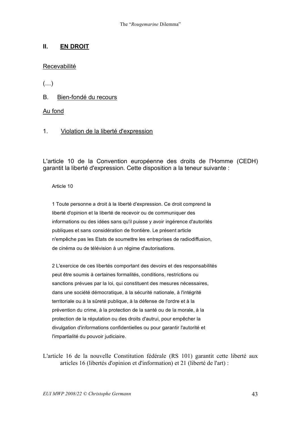### **II. EN DROIT**

### Recevabilité

 $(\ldots)$ 

B. Bien-fondé du recours

### Au fond

### 1. Violation de la liberté d'expression

L'article 10 de la Convention européenne des droits de l'Homme (CEDH) garantit la liberté d'expression. Cette disposition a la teneur suivante :

Article 10

1 Toute personne a droit à la liberté d'expression. Ce droit comprend la liberté d'opinion et la liberté de recevoir ou de communiquer des informations ou des idées sans qu'il puisse y avoir ingérence d'autorités publiques et sans considération de frontière. Le présent article n'empêche pas les Etats de soumettre les entreprises de radiodiffusion, de cinéma ou de télévision à un régime d'autorisations.

2 L'exercice de ces libertés comportant des devoirs et des responsabilités peut être soumis à certaines formalités, conditions, restrictions ou sanctions prévues par la loi, qui constituent des mesures nécessaires, dans une société démocratique, à la sécurité nationale, à l'intégrité territoriale ou à la sûreté publique, à la défense de l'ordre et à la prévention du crime, à la protection de la santé ou de la morale, à la protection de la réputation ou des droits d'autrui, pour empêcher la divulgation d'informations confidentielles ou pour garantir l'autorité et l'impartialité du pouvoir judiciaire.

L'article 16 de la nouvelle Constitution fédérale (RS 101) garantit cette liberté aux articles 16 (libertés d'opinion et d'information) et 21 (liberté de l'art) :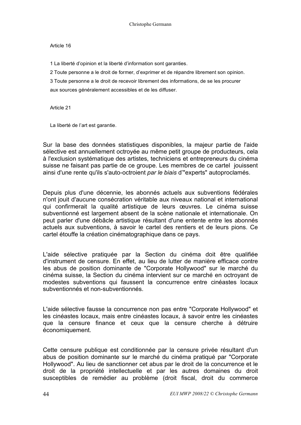#### Article 16

1 La liberté d'opinion et la liberté d'information sont garanties.

2 Toute personne a le droit de former, d'exprimer et de répandre librement son opinion.

3 Toute personne a le droit de recevoir librement des informations, de se les procurer aux sources généralement accessibles et de les diffuser.

Article 21

La liberté de l'art est garantie.

Sur la base des données statistiques disponibles, la majeur partie de l'aide sélective est annuellement octroyée au même petit groupe de producteurs, cela à l'exclusion systématique des artistes, techniciens et entrepreneurs du cinéma suisse ne faisant pas partie de ce groupe. Les membres de ce cartel jouissent ainsi d'une rente qu'ils s'auto-octroient *par le biais* d'"experts" autoproclamés.

Depuis plus d'une décennie, les abonnés actuels aux subventions fédérales n'ont jouit d'aucune consécration véritable aux niveaux national et international qui confirmerait la qualité artistique de leurs œuvres. Le cinéma suisse subventionné est largement absent de la scène nationale et internationale. On peut parler d'une débâcle artistique résultant d'une entente entre les abonnés actuels aux subventions, à savoir le cartel des rentiers et de leurs pions. Ce cartel étouffe la création cinématographique dans ce pays.

L'aide sélective pratiquée par la Section du cinéma doit être qualifiée d'instrument de censure. En effet, au lieu de lutter de manière efficace contre les abus de position dominante de "Corporate Hollywood" sur le marché du cinéma suisse, la Section du cinéma intervient sur ce marché en octroyant de modestes subventions qui faussent la concurrence entre cinéastes locaux subventionnés et non-subventionnés.

L'aide sélective fausse la concurrence non pas entre "Corporate Hollywood" et les cinéastes locaux, mais entre cinéastes locaux, à savoir entre les cinéastes que la censure finance et ceux que la censure cherche à détruire économiquement.

Cette censure publique est conditionnée par la censure privée résultant d'un abus de position dominante sur le marché du cinéma pratiqué par "Corporate Hollywood". Au lieu de sanctionner cet abus par le droit de la concurrence et le droit de la propriété intellectuelle et par les autres domaines du droit susceptibles de remédier au problème (droit fiscal, droit du commerce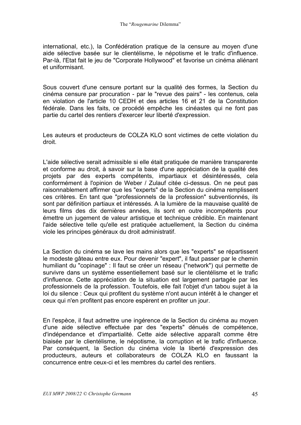international, etc.), la Confédération pratique de la censure au moyen d'une aide sélective basée sur le clientélisme, le népotisme et le trafic d'influence. Par-là, l'Etat fait le jeu de "Corporate Hollywood" et favorise un cinéma aliénant et uniformisant.

Sous couvert d'une censure portant sur la qualité des formes, la Section du cinéma censure par procuration - par le "revue des pairs" - les contenus, cela en violation de l'article 10 CEDH et des articles 16 et 21 de la Constitution fédérale. Dans les faits, ce procédé empêche les cinéastes qui ne font pas partie du cartel des rentiers d'exercer leur liberté d'expression.

Les auteurs et producteurs de COLZA KLO sont victimes de cette violation du droit.

L'aide sélective serait admissible si elle était pratiquée de manière transparente et conforme au droit, à savoir sur la base d'une appréciation de la qualité des projets par des experts compétents, impartiaux et désintéressés, cela conformément à l'opinion de Weber / Zulauf citée ci-dessus. On ne peut pas raisonnablement affirmer que les "experts" de la Section du cinéma remplissent ces critères. En tant que "professionnels de la profession" subventionnés, ils sont par définition partiaux et intéressés. A la lumière de la mauvaise qualité de leurs films des dix dernières années, ils sont en outre incompétents pour émettre un jugement de valeur artistique et technique crédible. En maintenant l'aide sélective telle qu'elle est pratiquée actuellement, la Section du cinéma viole les principes généraux du droit administratif.

La Section du cinéma se lave les mains alors que les "experts" se répartissent le modeste gâteau entre eux. Pour devenir "expert", il faut passer par le chemin humiliant du "copinage" : Il faut se créer un réseau ("network") qui permette de survivre dans un système essentiellement basé sur le clientélisme et le trafic d'influence. Cette appréciation de la situation est largement partagée par les professionnels de la profession. Toutefois, elle fait l'objet d'un tabou sujet à la loi du silence : Ceux qui profitent du système n'ont aucun intérêt à le changer et ceux qui n'en profitent pas encore espèrent en profiter un jour.

En l'espèce, il faut admettre une ingérence de la Section du cinéma au moyen d'une aide sélective effectuée par des "experts" dénués de compétence, d'indépendance et d'impartialité. Cette aide sélective apparaît comme être biaisée par le clientélisme, le népotisme, la corruption et le trafic d'influence. Par conséquent, la Section du cinéma viole la liberté d'expression des producteurs, auteurs et collaborateurs de COLZA KLO en faussant la concurrence entre ceux-ci et les membres du cartel des rentiers.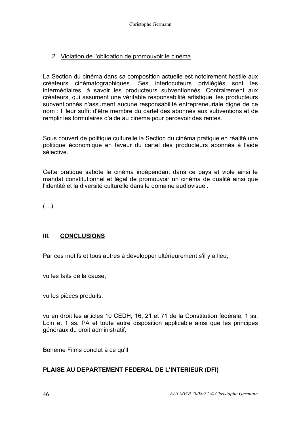### 2. Violation de l'obligation de promouvoir le cinéma

La Section du cinéma dans sa composition actuelle est notoirement hostile aux créateurs cinématographiques. Ses interlocuteurs privilégiés sont les intermédiaires, à savoir les producteurs subventionnés. Contrairement aux créateurs, qui assument une véritable responsabilité artistique, les producteurs subventionnés n'assument aucune responsabilité entrepreneuriale digne de ce nom : Il leur suffit d'être membre du cartel des abonnés aux subventions et de remplir les formulaires d'aide au cinéma pour percevoir des rentes.

Sous couvert de politique culturelle la Section du cinéma pratique en réalité une politique économique en faveur du cartel des producteurs abonnés à l'aide sélective.

Cette pratique sabote le cinéma indépendant dans ce pays et viole ainsi le mandat constitutionnel et légal de promouvoir un cinéma de qualité ainsi que l'identité et la diversité culturelle dans le domaine audiovisuel.

 $(\ldots)$ 

### **III. CONCLUSIONS**

Par ces motifs et tous autres à développer ultérieurement s'il y a lieu;

vu les faits de la cause;

vu les pièces produits;

vu en droit les articles 10 CEDH, 16, 21 et 71 de la Constitution fédérale, 1 ss. Lcin et 1 ss. PA et toute autre disposition applicable ainsi que les principes généraux du droit administratif,

Boheme Films conclut à ce qu'il

### **PLAISE AU DEPARTEMENT FEDERAL DE L'INTERIEUR (DFI)**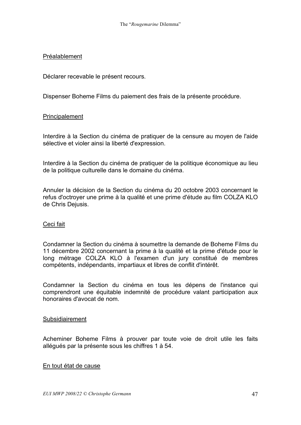### Préalablement

Déclarer recevable le présent recours.

Dispenser Boheme Films du paiement des frais de la présente procédure.

### Principalement

Interdire à la Section du cinéma de pratiquer de la censure au moyen de l'aide sélective et violer ainsi la liberté d'expression.

Interdire à la Section du cinéma de pratiquer de la politique économique au lieu de la politique culturelle dans le domaine du cinéma.

Annuler la décision de la Section du cinéma du 20 octobre 2003 concernant le refus d'octroyer une prime à la qualité et une prime d'étude au film COLZA KLO de Chris Dejusis.

### Ceci fait

Condamner la Section du cinéma à soumettre la demande de Boheme Films du 11 décembre 2002 concernant la prime à la qualité et la prime d'étude pour le long métrage COLZA KLO à l'examen d'un jury constitué de membres compétents, indépendants, impartiaux et libres de conflit d'intérêt.

Condamner la Section du cinéma en tous les dépens de l'instance qui comprendront une équitable indemnité de procédure valant participation aux honoraires d'avocat de nom.

### Subsidiairement

Acheminer Boheme Films à prouver par toute voie de droit utile les faits allégués par la présente sous les chiffres 1 à 54.

### En tout état de cause